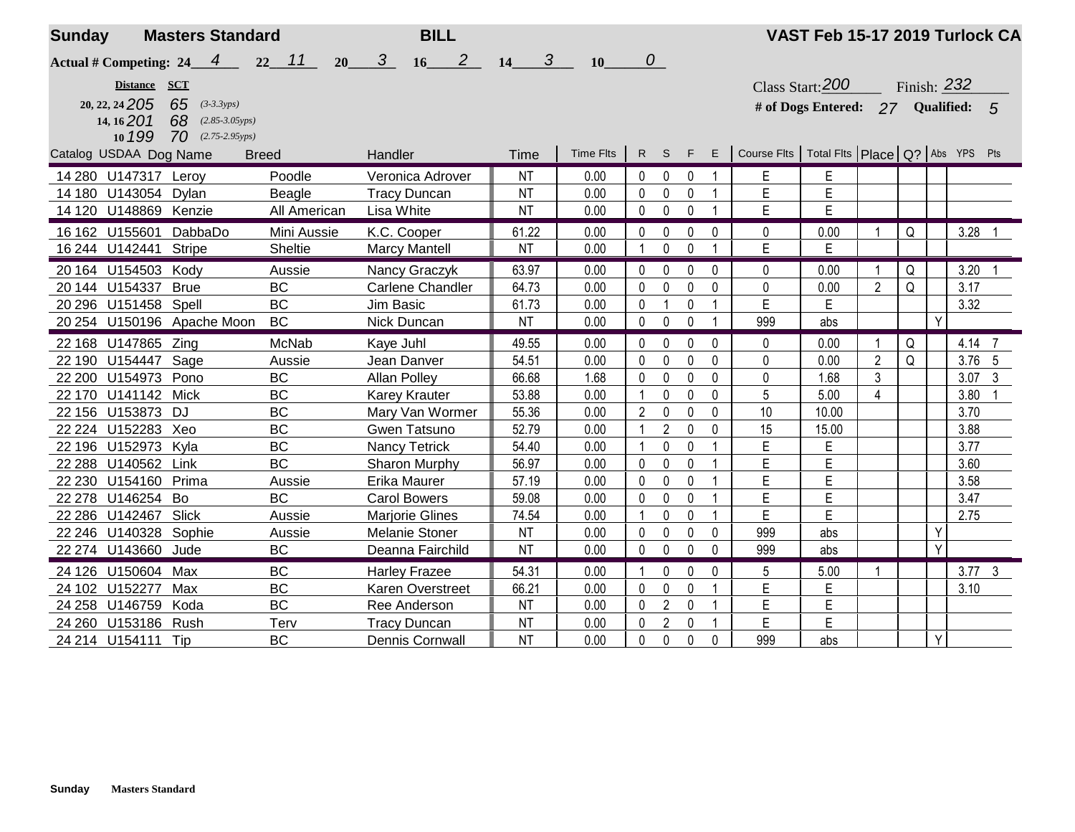| <b>Sunday</b>          |                | <b>Masters Standard</b>                |                     | <b>BILL</b>                            |                        |           |                  |                |              |              |                                                     | VAST Feb 15-17 2019 Turlock CA   |                |             |   |                |                |
|------------------------|----------------|----------------------------------------|---------------------|----------------------------------------|------------------------|-----------|------------------|----------------|--------------|--------------|-----------------------------------------------------|----------------------------------|----------------|-------------|---|----------------|----------------|
|                        |                | Actual # Competing: $24 \underline{4}$ | $22 \quad 11$<br>20 | 2 <sub>2</sub><br>3 <sup>7</sup><br>16 | $\boldsymbol{3}$<br>14 | 10        | $\boldsymbol{o}$ |                |              |              |                                                     |                                  |                |             |   |                |                |
|                        | Distance SCT   |                                        |                     |                                        |                        |           |                  |                |              |              |                                                     | Class Start: $200$               |                | Finish: 232 |   |                |                |
|                        | 20, 22, 24 205 | 65 $(3-3.3yps)$                        |                     |                                        |                        |           |                  |                |              |              |                                                     | # of Dogs Entered: 27 Qualified: |                |             |   |                | 5              |
|                        | $14, 16$ 201   | 68 $(2.85-3.05yps)$                    |                     |                                        |                        |           |                  |                |              |              |                                                     |                                  |                |             |   |                |                |
|                        | 10 199         | $70$ (2.75-2.95yps)                    |                     |                                        |                        |           |                  |                |              |              |                                                     |                                  |                |             |   |                |                |
| Catalog USDAA Dog Name |                | <b>Breed</b>                           |                     | Handler                                | Time                   | Time Flts | R S              |                | F            | E            | Course Fits   Total Fits   Place   Q?   Abs YPS Pts |                                  |                |             |   |                |                |
| 14 280 U147317 Leroy   |                |                                        | Poodle              | Veronica Adrover                       | <b>NT</b>              | 0.00      | 0                | 0              | 0            |              | Е                                                   | Е                                |                |             |   |                |                |
| 14 180 U143054 Dylan   |                |                                        | Beagle              | <b>Tracy Duncan</b>                    | <b>NT</b>              | 0.00      | $\mathbf{0}$     | 0              | $\mathbf{0}$ |              | E                                                   | E                                |                |             |   |                |                |
| 14 120 U148869 Kenzie  |                |                                        | All American        | Lisa White                             | <b>NT</b>              | 0.00      | $\mathbf 0$      | $\mathbf 0$    | 0            |              | E                                                   | E                                |                |             |   |                |                |
| 16 162 U155601         |                | DabbaDo                                | Mini Aussie         | K.C. Cooper                            | 61.22                  | 0.00      | $\mathbf{0}$     | $\mathbf 0$    | 0            | $\mathbf{0}$ | $\mathbf 0$                                         | 0.00                             | -1             | Q           |   | 3.28           |                |
| 16 244 U142441         |                | <b>Stripe</b>                          | Sheltie             | <b>Marcy Mantell</b>                   | <b>NT</b>              | 0.00      |                  | 0              | $\Omega$     |              | E                                                   | E                                |                |             |   |                |                |
| 20 164 U154503         |                | Kody                                   | Aussie              | Nancy Graczyk                          | 63.97                  | 0.00      | 0                | 0              | 0            | 0            | 0                                                   | 0.00                             | -1             | Q           |   | 3.20           |                |
| 20 144 U154337         |                | <b>Brue</b>                            | BC                  | Carlene Chandler                       | 64.73                  | 0.00      | 0                | $\mathbf 0$    | 0            | 0            | 0                                                   | 0.00                             | $\overline{2}$ | Q           |   | 3.17           |                |
| 20 296 U151458 Spell   |                |                                        | <b>BC</b>           | Jim Basic                              | 61.73                  | 0.00      | 0                | $\overline{1}$ | 0            |              | E                                                   | E                                |                |             |   | 3.32           |                |
|                        |                | 20 254 U150196 Apache Moon             | BC                  | Nick Duncan                            | <b>NT</b>              | 0.00      | 0                | $\pmb{0}$      | $\mathbf 0$  |              | 999                                                 | abs                              |                |             | Y |                |                |
| 22 168 U147865 Zing    |                |                                        | McNab               | Kaye Juhl                              | 49.55                  | 0.00      | $\Omega$         | $\mathbf 0$    | 0            | 0            | 0                                                   | 0.00                             |                | Q           |   | 4.14           | $\overline{7}$ |
| 22 190 U154447 Sage    |                |                                        | Aussie              | Jean Danver                            | 54.51                  | 0.00      | 0                | $\pmb{0}$      | $\mathbf{0}$ | $\mathbf 0$  | $\mathbf 0$                                         | 0.00                             | $\overline{2}$ | Q           |   | 3.76 5         |                |
| 22 200 U154973         |                | Pono                                   | BC                  | <b>Allan Polley</b>                    | 66.68                  | 1.68      | $\mathbf{0}$     | $\pmb{0}$      | 0            | $\mathbf 0$  | $\mathbf 0$                                         | 1.68                             | $\mathbf{3}$   |             |   | 3.07           | $\mathbf{3}$   |
| 22 170 U141142 Mick    |                |                                        | BC                  | <b>Karey Krauter</b>                   | 53.88                  | 0.00      | -1               | $\pmb{0}$      | $\mathbf 0$  | $\mathbf 0$  | 5                                                   | 5.00                             | $\overline{4}$ |             |   | 3.80           |                |
| 22 156 U153873         |                | DJ                                     | BC                  | Mary Van Wormer                        | 55.36                  | 0.00      | $\overline{2}$   | $\pmb{0}$      | $\mathbf 0$  | $\Omega$     | 10                                                  | 10.00                            |                |             |   | 3.70           |                |
| 22 224 U152283 Xeo     |                |                                        | BC                  | Gwen Tatsuno                           | 52.79                  | 0.00      | -1               | $\overline{2}$ | $\Omega$     | $\Omega$     | 15                                                  | 15.00                            |                |             |   | 3.88           |                |
| 22 196 U152973 Kyla    |                |                                        | <b>BC</b>           | Nancy Tetrick                          | 54.40                  | 0.00      | -1               | 0              | 0            | 1            | E                                                   | E                                |                |             |   | 3.77           |                |
| 22 288 U140562         |                | Link                                   | <b>BC</b>           | Sharon Murphy                          | 56.97                  | 0.00      | $\mathbf{0}$     | $\mathbf 0$    | 0            |              | E                                                   | E                                |                |             |   | 3.60           |                |
| 22 230 U154160         |                | Prima                                  | Aussie              | Erika Maurer                           | 57.19                  | 0.00      | $\mathbf{0}$     | $\pmb{0}$      | 0            |              | E                                                   | E                                |                |             |   | 3.58           |                |
| 22 278 U146254         |                | Bo                                     | <b>BC</b>           | <b>Carol Bowers</b>                    | 59.08                  | 0.00      | $\mathbf{0}$     | 0              | 0            |              | E                                                   | E                                |                |             |   | 3.47           |                |
| 22 286 U142467         |                | Slick                                  | Aussie              | <b>Marjorie Glines</b>                 | 74.54                  | 0.00      | -1               | $\mathbf 0$    | 0            | $\mathbf 1$  | E                                                   | E                                |                |             |   | 2.75           |                |
| 22 246 U140328         |                | Sophie                                 | Aussie              | <b>Melanie Stoner</b>                  | <b>NT</b>              | 0.00      | 0                | 0              | 0            | $\mathbf 0$  | 999                                                 | abs                              |                |             | Y |                |                |
| 22 274 U143660 Jude    |                |                                        | <b>BC</b>           | Deanna Fairchild                       | <b>NT</b>              | 0.00      | $\mathbf 0$      | 0              | 0            | $\Omega$     | 999                                                 | abs                              |                |             | Y |                |                |
| 24 126 U150604 Max     |                |                                        | <b>BC</b>           | <b>Harley Frazee</b>                   | 54.31                  | 0.00      | -1               | $\Omega$       | $\Omega$     | $\Omega$     | 5                                                   | 5.00                             | -1             |             |   | $3.77 \quad 3$ |                |
| 24 102 U152277         |                | Max                                    | <b>BC</b>           | Karen Overstreet                       | 66.21                  | 0.00      | $\mathbf{0}$     | 0              | 0            |              | E                                                   | E                                |                |             |   | 3.10           |                |
| 24 258 U146759         |                | Koda                                   | <b>BC</b>           | Ree Anderson                           | <b>NT</b>              | 0.00      | $\mathbf{0}$     | $\overline{2}$ | 0            | 1            | E                                                   | E                                |                |             |   |                |                |
| 24 260 U153186         |                | Rush                                   | Terv                | <b>Tracy Duncan</b>                    | <b>NT</b>              | 0.00      | $\mathbf{0}$     | $\overline{2}$ | 0            |              | E                                                   | E                                |                |             |   |                |                |
| 24 214 U154111         |                | Tip                                    | <b>BC</b>           | <b>Dennis Cornwall</b>                 | <b>NT</b>              | 0.00      | $\mathbf{0}$     | $\pmb{0}$      | 0            | 0            | 999                                                 | abs                              |                |             | Y |                |                |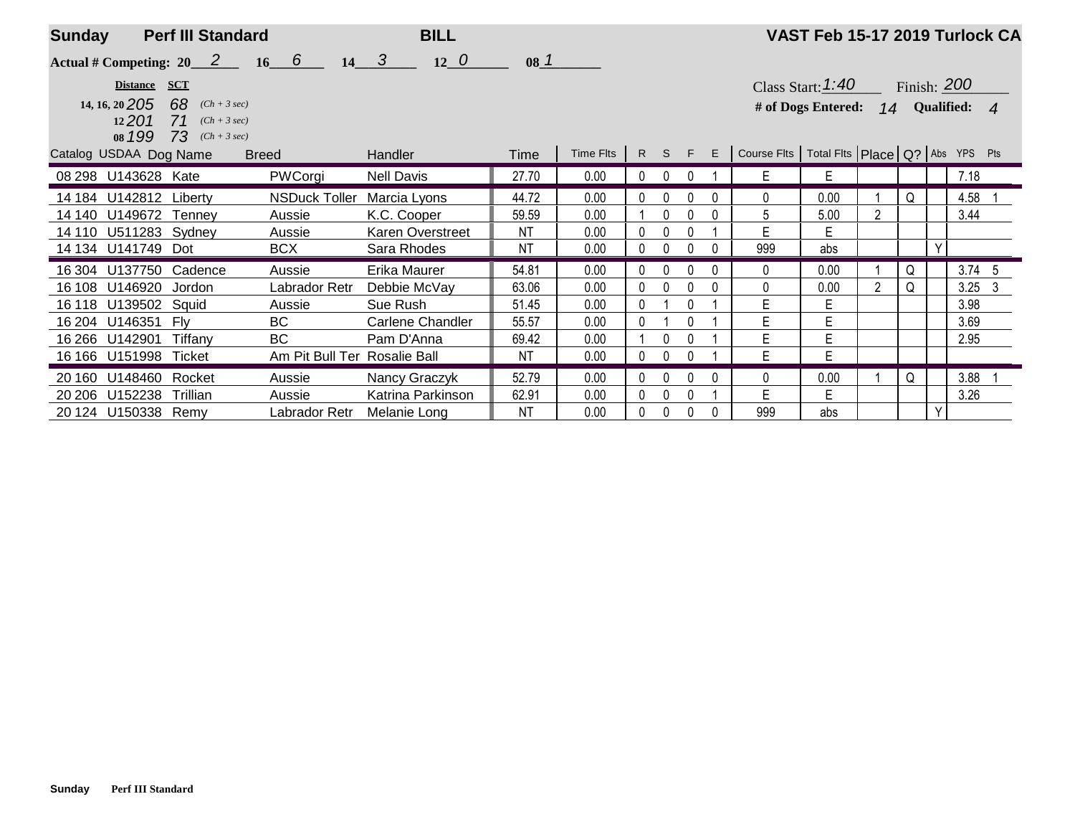| <b>Sunday</b> |                                                   | <b>Perf III Standard</b>                                                     |                              | <b>BILL</b>                |                 |           |              |              |          |              |                                                         | VAST Feb 15-17 2019 Turlock CA                                                      |                |   |   |          |   |
|---------------|---------------------------------------------------|------------------------------------------------------------------------------|------------------------------|----------------------------|-----------------|-----------|--------------|--------------|----------|--------------|---------------------------------------------------------|-------------------------------------------------------------------------------------|----------------|---|---|----------|---|
|               |                                                   | Actual # Competing: $20 \quad 2 \quad 16 \quad 6$                            |                              | $14 \quad 3$<br>$12\quad0$ | 08 <sup>1</sup> |           |              |              |          |              |                                                         |                                                                                     |                |   |   |          |   |
|               | Distance SCT<br>14, 16, 20 205<br>12201<br>08 199 | 68<br>$(Ch + 3 sec)$<br><b>71</b> $(Ch + 3 sec)$<br><b>73</b> $(Ch + 3 sec)$ |                              |                            |                 |           |              |              |          |              |                                                         | Class Start: $1:40$ Finish: 200<br># of Dogs Entered: <b>14</b> Qualified: <b>4</b> |                |   |   |          |   |
|               | Catalog USDAA Dog Name                            |                                                                              | <b>Breed</b>                 | <b>Handler</b>             | Time            | Time Flts | R S F        |              |          |              | $E$ Course Fits   Total Fits   Place   Q?   Abs YPS Pts |                                                                                     |                |   |   |          |   |
|               | 08 298 U143628 Kate                               |                                                                              | PWCorgi                      | <b>Nell Davis</b>          | 27.70           | 0.00      | $\mathbf{0}$ |              |          |              | E                                                       | E                                                                                   |                |   |   | 7.18     |   |
|               | 14 184 U142812 Liberty                            |                                                                              | <b>NSDuck Toller</b>         | Marcia Lyons               | 44.72           | 0.00      | 0            | 0            |          |              | 0                                                       | 0.00                                                                                |                | Q |   | 4.58     |   |
| 14 140        | U149672 Tenney                                    |                                                                              | Aussie                       | K.C. Cooper                | 59.59           | 0.00      |              | 0            | 0        | 0            | 5                                                       | 5.00                                                                                | $\overline{2}$ |   |   | 3.44     |   |
|               | 14 110 U511283 Sydney                             |                                                                              | Aussie                       | Karen Overstreet           | ΝT              | 0.00      | 0            |              |          |              | E                                                       | E                                                                                   |                |   |   |          |   |
|               | 14 134 U141749                                    | Dot                                                                          | <b>BCX</b>                   | Sara Rhodes                | NT              | 0.00      | 0            |              | U        | 0            | 999                                                     | abs                                                                                 |                |   | Y |          |   |
| 16 304        | U137750 Cadence                                   |                                                                              | Aussie                       | Erika Maurer               | 54.81           | 0.00      | 0            | <sup>0</sup> | $\cap$   | <sup>0</sup> | $\Omega$                                                | 0.00                                                                                |                | Q |   | $3.74$ 5 |   |
| 16 108        | U146920                                           | Jordon                                                                       | Labrador Retr                | Debbie McVay               | 63.06           | 0.00      | 0            |              |          |              | 0                                                       | 0.00                                                                                | $\overline{2}$ | Q |   | 3.25     | 3 |
| 16 118        | U139502 Squid                                     |                                                                              | Aussie                       | Sue Rush                   | 51.45           | 0.00      | 0            |              |          |              | Е                                                       | E                                                                                   |                |   |   | 3.98     |   |
| 16 204        | U146351                                           | Flv                                                                          | <b>BC</b>                    | Carlene Chandler           | 55.57           | 0.00      | 0            |              | $\cap$   |              | E                                                       | E                                                                                   |                |   |   | 3.69     |   |
| 16 266        | U142901                                           | Tiffanv                                                                      | <b>BC</b>                    | Pam D'Anna                 | 69.42           | 0.00      |              | 0            |          |              | Е                                                       | E                                                                                   |                |   |   | 2.95     |   |
|               | 16 166 U151998 Ticket                             |                                                                              | Am Pit Bull Ter Rosalie Ball |                            | NT              | 0.00      | 0            | $\mathbf{0}$ |          |              | E                                                       | E                                                                                   |                |   |   |          |   |
| 20 160        | U148460 Rocket                                    |                                                                              | Aussie                       | Nancy Graczyk              | 52.79           | 0.00      | 0            | $\Omega$     |          |              | 0                                                       | 0.00                                                                                |                | Q |   | 3.88     |   |
| 20 20 6       | U152238                                           | Trillian                                                                     | Aussie                       | Katrina Parkinson          | 62.91           | 0.00      | 0            | 0            | $\Omega$ |              | E                                                       | E                                                                                   |                |   |   | 3.26     |   |
|               | 20 124 U150338 Remy                               |                                                                              | Labrador Retr                | Melanie Long               | <b>NT</b>       | 0.00      | 0            |              | $\Omega$ |              | 999                                                     | abs                                                                                 |                |   | Y |          |   |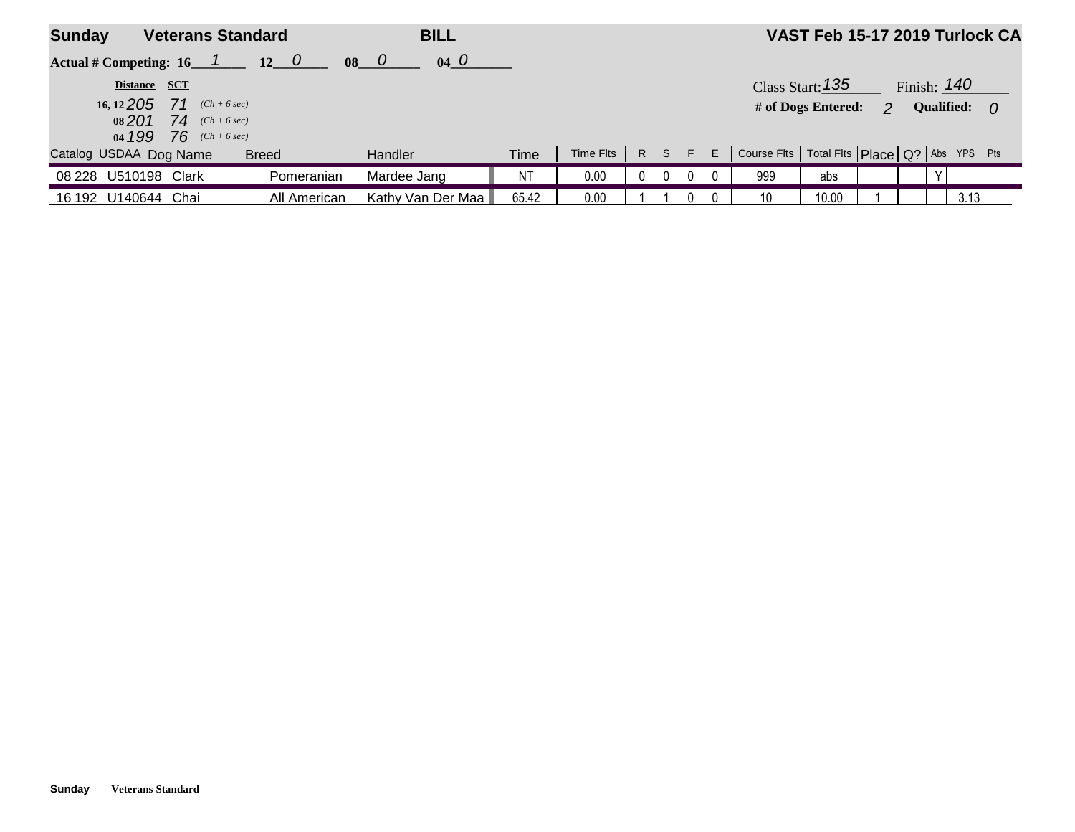| <b>Sunday</b>                                                                                                   | <b>Veterans Standard</b> | <b>BILL</b>       |       |           |  |  |          |  |                                                               |       |  |  |  | VAST Feb 15-17 2019 Turlock CA |
|-----------------------------------------------------------------------------------------------------------------|--------------------------|-------------------|-------|-----------|--|--|----------|--|---------------------------------------------------------------|-------|--|--|--|--------------------------------|
| $04\quad0$<br>Actual # Competing: $16 \quad 1 \quad 12 \quad 0$<br>$\begin{matrix} 0 & 0 \\ 0 & 0 \end{matrix}$ |                          |                   |       |           |  |  |          |  |                                                               |       |  |  |  |                                |
| Finish: $140$<br>Class Start: 135<br>Distance SCT                                                               |                          |                   |       |           |  |  |          |  |                                                               |       |  |  |  |                                |
| 16, 12 <b>205</b> 71 $(Ch + 6 sec)$<br># of Dogs Entered:<br><b>Qualified:</b><br>$\mathbf{p}$<br>- 0           |                          |                   |       |           |  |  |          |  |                                                               |       |  |  |  |                                |
|                                                                                                                 | 08 201 74 $(Ch+6 sec)$   |                   |       |           |  |  |          |  |                                                               |       |  |  |  |                                |
| 04 199 76 $(Ch+6 sec)$                                                                                          |                          |                   |       |           |  |  |          |  |                                                               |       |  |  |  |                                |
| Catalog USDAA Dog Name                                                                                          | <b>Breed</b>             | Handler           | Time  | Time Fits |  |  |          |  | R S F E   Course Fits   Total Fits   Place   Q?   Abs YPS Pts |       |  |  |  |                                |
| 08 228 U510198 Clark                                                                                            | Pomeranian               | Mardee Jang       | NT.   | 0.00      |  |  | $\Omega$ |  | 999                                                           | abs   |  |  |  |                                |
| 16 192 U140644 Chai                                                                                             | All American             | Kathy Van Der Maa | 65.42 | 0.00      |  |  |          |  | 10                                                            | 10.00 |  |  |  | 3.13                           |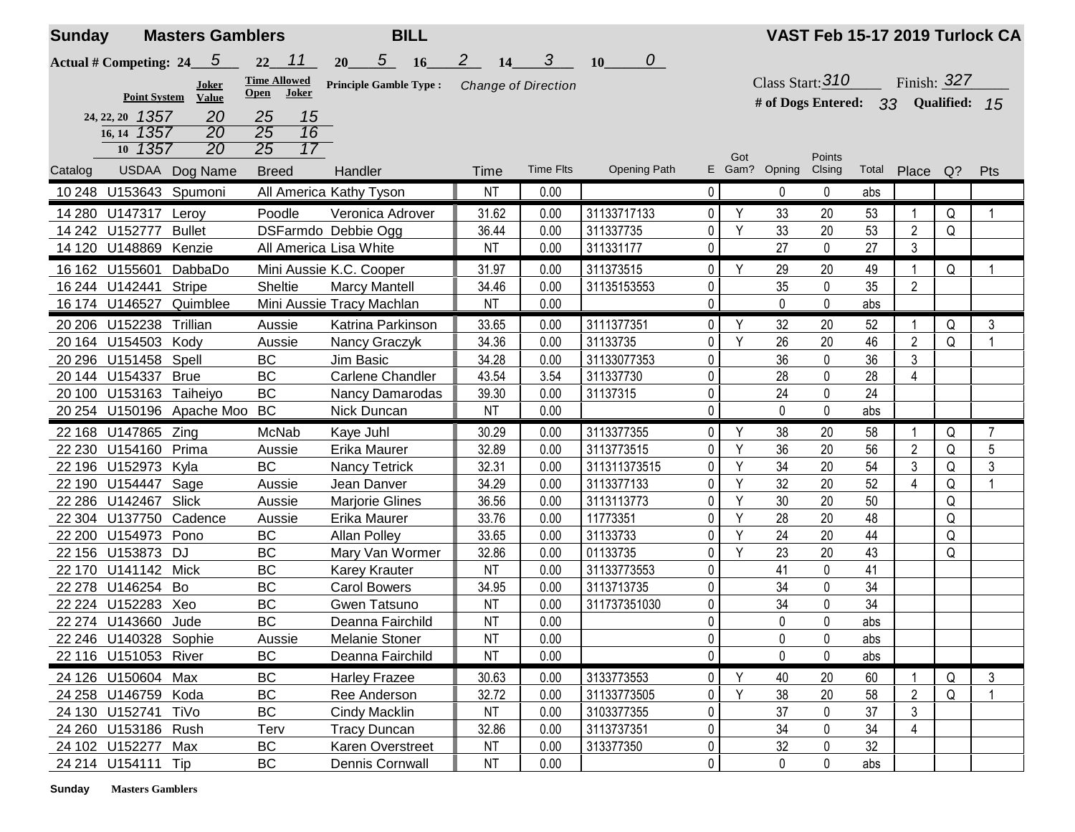| <b>Sunday</b> |                                       | <b>Masters Gamblers</b>      |                                                                          | <b>BILL</b>                   |                             |                  |                     |                |     |                                     | VAST Feb 15-17 2019 Turlock CA |       |                |       |                |
|---------------|---------------------------------------|------------------------------|--------------------------------------------------------------------------|-------------------------------|-----------------------------|------------------|---------------------|----------------|-----|-------------------------------------|--------------------------------|-------|----------------|-------|----------------|
|               | Actual # Competing: $24 \overline{5}$ |                              | $22 \quad 11$                                                            | $5\quad 16$<br>20             | 2 <sup>7</sup><br><b>14</b> | $\boldsymbol{3}$ | 0<br>10             |                |     |                                     |                                |       |                |       |                |
|               |                                       | <b>Joker</b>                 | <b>Time Allowed</b><br><b>Joker</b><br>Open                              | <b>Principle Gamble Type:</b> | <b>Change of Direction</b>  |                  |                     |                |     | Class Start: $310$                  |                                |       | Finish: 327    |       |                |
|               | <b>Point System</b>                   | <b>Value</b>                 |                                                                          |                               |                             |                  |                     |                |     | # of Dogs Entered: 33 Qualified: 15 |                                |       |                |       |                |
|               | 24, 22, 20 1357                       | 20                           | 25<br>15                                                                 |                               |                             |                  |                     |                |     |                                     |                                |       |                |       |                |
|               | 16, 14 1357<br>10 1357                | 20<br>20                     | $\overline{25}$<br>$\overline{16}$<br>$\overline{17}$<br>$\overline{25}$ |                               |                             |                  |                     |                |     |                                     |                                |       |                |       |                |
|               |                                       |                              |                                                                          |                               |                             |                  |                     |                | Got |                                     | Points                         |       |                |       |                |
| Catalog       |                                       | USDAA Dog Name               | <b>Breed</b>                                                             | Handler                       | Time                        | <b>Time Flts</b> | <b>Opening Path</b> |                |     | E Gam? Opning                       | Clsing                         | Total | Place          | $Q$ ? | Pts            |
|               | 10 248 U153643 Spumoni                |                              |                                                                          | All America Kathy Tyson       | <b>NT</b>                   | 0.00             |                     | $\overline{0}$ |     | 0                                   | 0                              | abs   |                |       |                |
|               | 14 280 U147317 Leroy                  |                              | Poodle                                                                   | Veronica Adrover              | 31.62                       | 0.00             | 31133717133         | $\overline{0}$ | Y   | 33                                  | 20                             | 53    | 1              | Q     | $\mathbf{1}$   |
|               | 14 242 U152777 Bullet                 |                              |                                                                          | DSFarmdo Debbie Ogg           | 36.44                       | 0.00             | 311337735           | 0              | Y   | 33                                  | $20\,$                         | 53    | $\overline{2}$ | Q     |                |
|               | 14 120 U148869 Kenzie                 |                              | All America Lisa White                                                   |                               | <b>NT</b>                   | 0.00             | 311331177           | $\overline{0}$ |     | 27                                  | $\mathbf 0$                    | 27    | 3              |       |                |
|               | 16 162 U155601                        | DabbaDo                      |                                                                          | Mini Aussie K.C. Cooper       | 31.97                       | 0.00             | 311373515           | 0              | Y   | 29                                  | 20                             | 49    | $\mathbf{1}$   | Q     |                |
|               | 16 244 U142441                        | <b>Stripe</b>                | Sheltie                                                                  | <b>Marcy Mantell</b>          | 34.46                       | 0.00             | 31135153553         | $\overline{0}$ |     | 35                                  | 0                              | 35    | $\overline{2}$ |       |                |
|               |                                       | 16 174 U146527 Quimblee      |                                                                          | Mini Aussie Tracy Machlan     | <b>NT</b>                   | 0.00             |                     | $\overline{0}$ |     | $\mathbf 0$                         | $\mathbf 0$                    | abs   |                |       |                |
|               | 20 206 U152238 Trillian               |                              | Aussie                                                                   | Katrina Parkinson             | 33.65                       | 0.00             | 3111377351          | $\overline{0}$ | Y   | 32                                  | 20                             | 52    |                | Q     | 3              |
|               | 20 164 U154503 Kody                   |                              | Aussie                                                                   | Nancy Graczyk                 | 34.36                       | 0.00             | 31133735            | 0              | Y   | 26                                  | 20                             | 46    | $\overline{2}$ | Q     | $\overline{1}$ |
|               | 20 296 U151458 Spell                  |                              | BC                                                                       | Jim Basic                     | 34.28                       | 0.00             | 31133077353         | 0              |     | 36                                  | 0                              | 36    | 3              |       |                |
|               | 20 144 U154337 Brue                   |                              | <b>BC</b>                                                                | <b>Carlene Chandler</b>       | 43.54                       | 3.54             | 311337730           | 0              |     | 28                                  | $\pmb{0}$                      | 28    | 4              |       |                |
|               | 20 100 U153163 Taiheiyo               |                              | BC                                                                       | Nancy Damarodas               | 39.30                       | 0.00             | 31137315            | 0              |     | 24                                  | $\mathbf 0$                    | 24    |                |       |                |
|               |                                       | 20 254 U150196 Apache Moo BC |                                                                          | Nick Duncan                   | <b>NT</b>                   | 0.00             |                     | $\overline{0}$ |     | $\mathbf 0$                         | $\mathbf 0$                    | abs   |                |       |                |
|               | 22 168 U147865 Zing                   |                              | McNab                                                                    | Kaye Juhl                     | 30.29                       | 0.00             | 3113377355          | $\overline{0}$ | Y   | 38                                  | 20                             | 58    |                | Q     | 7              |
|               | 22 230 U154160 Prima                  |                              | Aussie                                                                   | Erika Maurer                  | 32.89                       | 0.00             | 3113773515          | 0              | Y   | 36                                  | 20                             | 56    | $\overline{2}$ | Q     | $5\,$          |
|               | 22 196 U152973 Kyla                   |                              | <b>BC</b>                                                                | Nancy Tetrick                 | 32.31                       | 0.00             | 311311373515        | 0              | Υ   | 34                                  | 20                             | 54    | 3              | Q     | $\mathfrak{Z}$ |
|               | 22 190 U154447                        | Sage                         | Aussie                                                                   | Jean Danver                   | 34.29                       | 0.00             | 3113377133          | $\mathbf 0$    | Y   | 32                                  | 20                             | 52    | $\overline{4}$ | Q     | $\mathbf{1}$   |
|               | 22 286 U142467 Slick                  |                              | Aussie                                                                   | Marjorie Glines               | 36.56                       | 0.00             | 3113113773          | 0              | Υ   | 30                                  | 20                             | 50    |                | Q     |                |
|               | 22 304 U137750 Cadence                |                              | Aussie                                                                   | Erika Maurer                  | 33.76                       | 0.00             | 11773351            | 0              | Y   | 28                                  | 20                             | 48    |                | Q     |                |
|               | 22 200 U154973 Pono                   |                              | BC                                                                       | <b>Allan Polley</b>           | 33.65                       | 0.00             | 31133733            | 0              | Y   | 24                                  | 20                             | 44    |                | Q     |                |
|               | 22 156 U153873 DJ                     |                              | BC                                                                       | Mary Van Wormer               | 32.86                       | 0.00             | 01133735            | $\mathbf{0}$   | Y   | 23                                  | 20                             | 43    |                | Q     |                |
|               | 22 170 U141142 Mick                   |                              | BC                                                                       | <b>Karey Krauter</b>          | <b>NT</b>                   | 0.00             | 31133773553         | 0              |     | 41                                  | $\pmb{0}$                      | 41    |                |       |                |
|               | 22 278 U146254 Bo                     |                              | BC                                                                       | <b>Carol Bowers</b>           | 34.95                       | 0.00             | 3113713735          | 0              |     | 34                                  | $\pmb{0}$                      | 34    |                |       |                |
|               | 22 224 U152283 Xeo                    |                              | BC                                                                       | Gwen Tatsuno                  | <b>NT</b>                   | 0.00             | 311737351030        | $\overline{0}$ |     | 34                                  | 0                              | 34    |                |       |                |
|               | 22 274 U143660 Jude                   |                              | <b>BC</b>                                                                | Deanna Fairchild              | <b>NT</b>                   | 0.00             |                     | 0              |     | $\mathbf 0$                         | $\pmb{0}$                      | abs   |                |       |                |
|               | 22 246 U140328 Sophie                 |                              | Aussie                                                                   | Melanie Stoner                | <b>NT</b>                   | 0.00             |                     | $\overline{0}$ |     | $\pmb{0}$                           | 0                              | abs   |                |       |                |
|               | 22 116 U151053 River                  |                              | BC                                                                       | Deanna Fairchild              | <b>NT</b>                   | 0.00             |                     | $\overline{0}$ |     | 0                                   | 0                              | abs   |                |       |                |
|               | 24 126 U150604 Max                    |                              | <b>BC</b>                                                                | <b>Harley Frazee</b>          | 30.63                       | 0.00             | 3133773553          | $\overline{0}$ | Y   | 40                                  | 20                             | 60    |                | Q     | 3              |
|               | 24 258 U146759 Koda                   |                              | BC                                                                       | Ree Anderson                  | 32.72                       | 0.00             | 31133773505         | $\overline{0}$ | Y   | 38                                  | 20                             | 58    | $\overline{2}$ | Q     |                |
|               | 24 130 U152741 TiVo                   |                              | BC                                                                       | Cindy Macklin                 | <b>NT</b>                   | 0.00             | 3103377355          | 0              |     | 37                                  | $\pmb{0}$                      | 37    | 3              |       |                |
|               | 24 260 U153186 Rush                   |                              | Terv                                                                     | <b>Tracy Duncan</b>           | 32.86                       | 0.00             | 3113737351          | 0              |     | 34                                  | $\mathbf 0$                    | 34    | 4              |       |                |
|               | 24 102 U152277 Max                    |                              | BC                                                                       | Karen Overstreet              | <b>NT</b>                   | 0.00             | 313377350           | $\overline{0}$ |     | 32                                  | 0                              | 32    |                |       |                |
|               | 24 214 U154111 Tip                    |                              | BC                                                                       | Dennis Cornwall               | NT                          | 0.00             |                     | $\overline{0}$ |     | 0                                   | 0                              | abs   |                |       |                |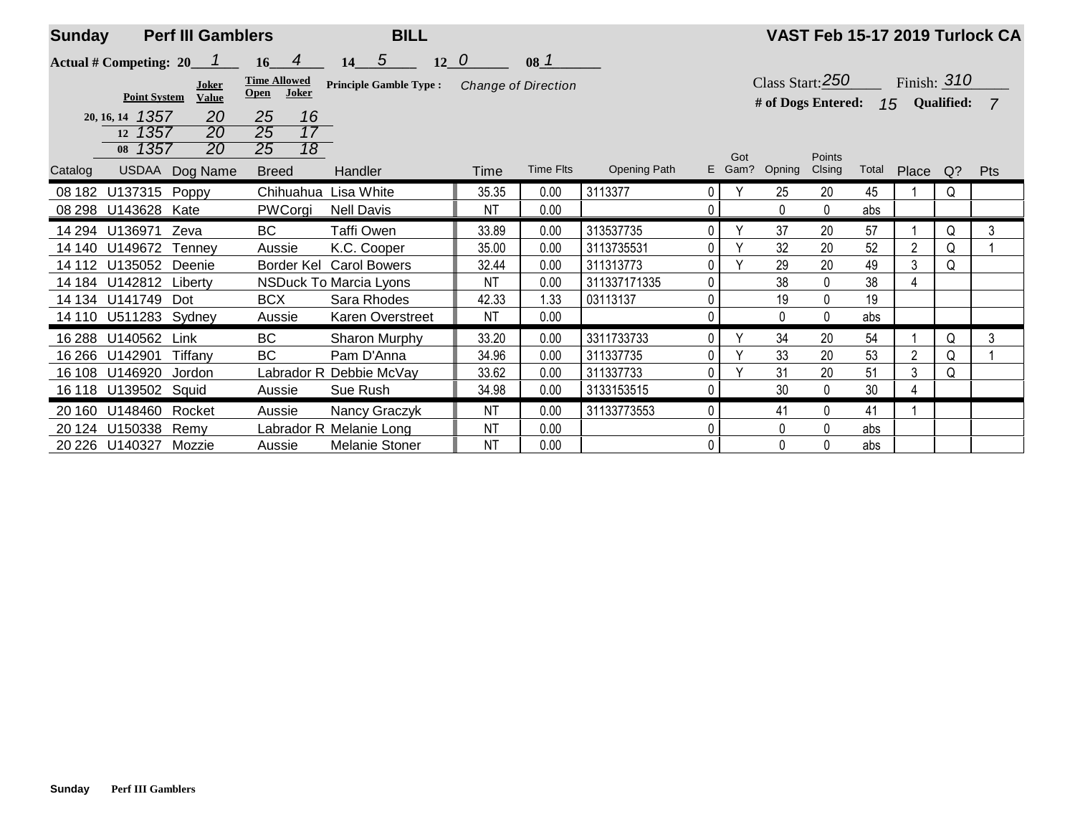| <b>Sunday</b> |                        | <b>Perf III Gamblers</b>         |                                 |                 | <b>BILL</b>                   |           |                            |                     |                |               |                    |                  |       |                 |       | VAST Feb 15-17 2019 Turlock CA |
|---------------|------------------------|----------------------------------|---------------------------------|-----------------|-------------------------------|-----------|----------------------------|---------------------|----------------|---------------|--------------------|------------------|-------|-----------------|-------|--------------------------------|
|               |                        | Actual # Competing: $20 \quad 1$ | $16$ 4                          |                 | $12\quad0$<br>$14 \quad 5$    |           | 08 <sup>1</sup>            |                     |                |               |                    |                  |       |                 |       |                                |
|               |                        | Joker                            | <b>Time Allowed</b>             |                 | <b>Principle Gamble Type:</b> |           | <b>Change of Direction</b> |                     |                |               | Class Start: $250$ |                  |       | Finish: $310$   |       |                                |
|               | <b>Point System</b>    | <b>Value</b>                     | <b>Open</b>                     | Joker           |                               |           |                            |                     |                |               | # of Dogs Entered: |                  |       | 15 Qualified: 7 |       |                                |
|               | 20, 16, 14 1357        | 20                               | 25                              | 16              |                               |           |                            |                     |                |               |                    |                  |       |                 |       |                                |
|               | 12 1357                | 20                               | $\overline{25}$                 | $\overline{17}$ |                               |           |                            |                     |                |               |                    |                  |       |                 |       |                                |
| Catalog       | 08 1357                | 20<br>USDAA Dog Name             | $\overline{25}$<br><b>Breed</b> | $\overline{18}$ | Handler                       | Time      | <b>Time Flts</b>           | <b>Opening Path</b> |                | Got<br>E Gam? | Opning             | Points<br>Clsing | Total | Place           | $Q$ ? | Pts                            |
| 08 182        | U137315 Poppy          |                                  |                                 |                 | Chihuahua Lisa White          | 35.35     | 0.00                       | 3113377             | $\overline{0}$ | Υ             | 25                 | 20               | 45    |                 | Q     |                                |
| 08 298        | U143628 Kate           |                                  | PWCorgi                         |                 | <b>Nell Davis</b>             | <b>NT</b> | 0.00                       |                     | $\mathbf{0}$   |               | $\mathbf{0}$       | 0                | abs   |                 |       |                                |
| 14 294        | U136971 Zeva           |                                  | BC                              |                 | Taffi Owen                    | 33.89     | 0.00                       | 313537735           | $\overline{0}$ | $\vee$        | 37                 | 20               | 57    |                 | Q     | 3                              |
| 14 140        | U149672 Tenney         |                                  | Aussie                          |                 | K.C. Cooper                   | 35.00     | 0.00                       | 3113735531          | $\overline{0}$ | $\vee$        | 32                 | 20               | 52    | $\overline{2}$  | Q     |                                |
| 14 112        | U135052 Deenie         |                                  |                                 | Border Kel      | <b>Carol Bowers</b>           | 32.44     | 0.00                       | 311313773           | $\overline{0}$ |               | 29                 | 20               | 49    | 3               | Q     |                                |
|               | 14 184 U142812 Liberty |                                  |                                 |                 | <b>NSDuck To Marcia Lyons</b> | NT        | 0.00                       | 311337171335        | $\overline{0}$ |               | 38                 | 0                | 38    | 4               |       |                                |
|               | 14 134 U141749 Dot     |                                  | <b>BCX</b>                      |                 | Sara Rhodes                   | 42.33     | 1.33                       | 03113137            | 0              |               | 19                 | 0                | 19    |                 |       |                                |
|               | 14 110 U511283 Sydney  |                                  | Aussie                          |                 | Karen Overstreet              | <b>NT</b> | 0.00                       |                     | $\overline{0}$ |               | 0                  | 0                | abs   |                 |       |                                |
| 16 288        | U140562                | Link                             | BC                              |                 | Sharon Murphy                 | 33.20     | 0.00                       | 3311733733          | $\Omega$       | $\checkmark$  | 34                 | 20               | 54    |                 | Q     | 3                              |
| 16 266        | U142901                | Tiffany                          | <b>BC</b>                       |                 | Pam D'Anna                    | 34.96     | 0.00                       | 311337735           | $\overline{0}$ |               | 33                 | 20               | 53    | $\overline{2}$  | Q     |                                |
| 16 108        | U146920                | Jordon                           |                                 |                 | Labrador R Debbie McVay       | 33.62     | 0.00                       | 311337733           | 0 <sub>1</sub> | $\checkmark$  | 31                 | 20               | 51    | 3               | Q     |                                |
| 16 118        | U139502 Squid          |                                  | Aussie                          |                 | Sue Rush                      | 34.98     | 0.00                       | 3133153515          | 0              |               | 30                 | $\mathbf{0}$     | 30    | 4               |       |                                |
| 20 160        | U148460 Rocket         |                                  | Aussie                          |                 | Nancy Graczyk                 | ΝT        | 0.00                       | 31133773553         | $\overline{0}$ |               | 41                 | 0                | 41    |                 |       |                                |
|               | 20 124 U150338         | Remy                             |                                 |                 | Labrador R Melanie Long       | <b>NT</b> | 0.00                       |                     | 0              |               | 0                  | 0                | abs   |                 |       |                                |
|               | 20 226 U140327 Mozzie  |                                  | Aussie                          |                 | Melanie Stoner                | <b>NT</b> | 0.00                       |                     | 0              |               | $\mathbf{0}$       | 0                | abs   |                 |       |                                |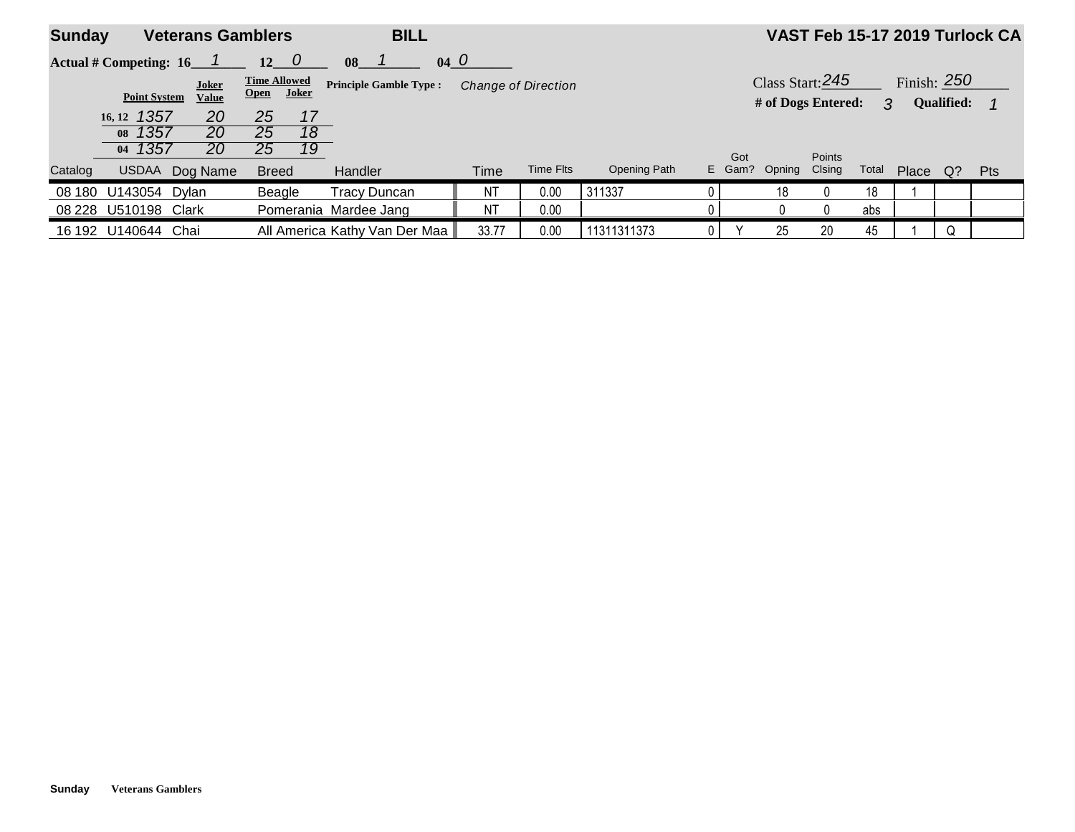| <b>Sunday</b> | <b>Veterans Gamblers</b>         |                |                                   | <b>BILL</b>                   |           |                            |              |        |                    |               |       |               |            | VAST Feb 15-17 2019 Turlock CA |
|---------------|----------------------------------|----------------|-----------------------------------|-------------------------------|-----------|----------------------------|--------------|--------|--------------------|---------------|-------|---------------|------------|--------------------------------|
|               | Actual # Competing: $16 \quad 1$ |                | $12 \quad 0$                      | $04\quad0$<br>08              |           |                            |              |        |                    |               |       |               |            |                                |
|               |                                  | <b>Joker</b>   | <b>Time Allowed</b><br>Open Joker | <b>Principle Gamble Type:</b> |           | <b>Change of Direction</b> |              |        | Class Start: 245   |               |       | Finish: $250$ |            |                                |
|               | <b>Point System</b>              | <b>Value</b>   |                                   |                               |           |                            |              |        | # of Dogs Entered: |               | 3     |               | Qualified: | $\mathbf 1$                    |
|               | 16, 12 1357                      | 20             | 17<br>25                          |                               |           |                            |              |        |                    |               |       |               |            |                                |
|               | 08 1357                          | 20             | $\overline{18}$<br>25             |                               |           |                            |              |        |                    |               |       |               |            |                                |
|               | 04 1357                          | 20             | 19<br>25                          |                               |           |                            |              | Got    |                    | <b>Points</b> |       |               |            |                                |
| Catalog       |                                  | USDAA Dog Name | <b>Breed</b>                      | Handler                       | Time      | Time Flts                  | Opening Path | E Gam? | Opning             | Clsing        | Total | Place         | $Q$ ?      | <b>Pts</b>                     |
| 08 180        | U143054 Dylan                    |                | Beagle                            | <b>Tracy Duncan</b>           | <b>NT</b> | 0.00                       | 311337       |        | 18                 |               | 18    |               |            |                                |
|               | 08 228 U510198 Clark             |                |                                   | Pomerania Mardee Jang         | <b>NT</b> | 0.00                       |              |        |                    |               | abs   |               |            |                                |
|               | 16 192 U140644 Chai              |                |                                   | All America Kathy Van Der Maa | 33.77     | 0.00                       | 11311311373  |        | 25                 | 20            | 45    |               | Q          |                                |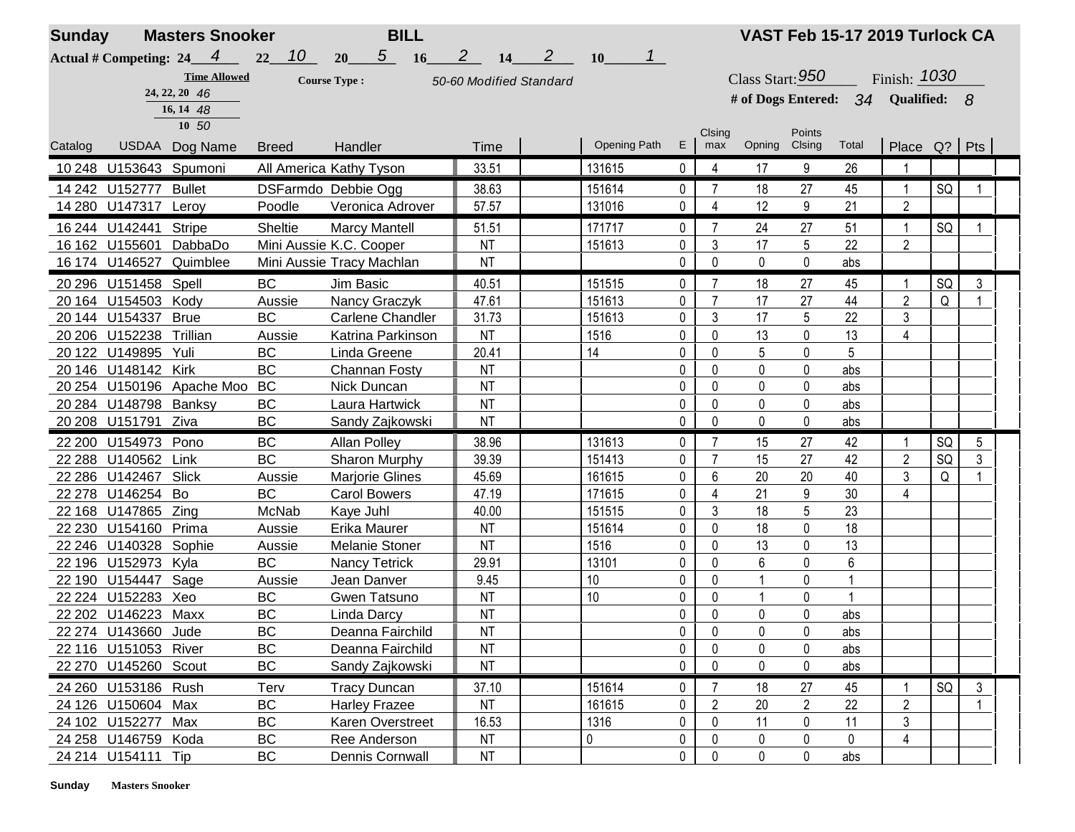| <b>Sunday</b> |                         | <b>Masters Snooker</b>           |              | <b>BILL</b>               |                          |              |                           |              |                |                                    |                | VAST Feb 15-17 2019 Turlock CA |                 |    |   |  |
|---------------|-------------------------|----------------------------------|--------------|---------------------------|--------------------------|--------------|---------------------------|--------------|----------------|------------------------------------|----------------|--------------------------------|-----------------|----|---|--|
|               |                         | Actual # Competing: $24 \quad 4$ | 10<br>22     | $5\qquad 16$<br>20        | $2^{\circ}$<br><b>14</b> | $\mathbf{2}$ | $\mathbf{1}$<br><b>10</b> |              |                |                                    |                |                                |                 |    |   |  |
|               |                         | <b>Time Allowed</b>              |              | <b>Course Type:</b>       | 50-60 Modified Standard  |              |                           |              |                | Class Start: $950$                 |                |                                | Finish: 1030    |    |   |  |
|               |                         | 24, 22, 20 46                    |              |                           |                          |              |                           |              |                | # of Dogs Entered: 34 Qualified: 8 |                |                                |                 |    |   |  |
|               |                         | 16, 14 48<br>10 50               |              |                           |                          |              |                           |              |                |                                    |                |                                |                 |    |   |  |
|               |                         |                                  |              |                           |                          |              | <b>Opening Path</b>       | E.           | Clsing         | Opning Clsing                      | Points         | Total                          |                 |    |   |  |
| Catalog       |                         | USDAA Dog Name                   | <b>Breed</b> | Handler                   | Time                     |              |                           |              | max            |                                    |                |                                | Place $Q$ ? Pts |    |   |  |
|               | 10 248 U153643 Spumoni  |                                  |              | All America Kathy Tyson   | 33.51                    |              | 131615                    | $\mathbf{0}$ | 4              | 17                                 | 9              | 26                             |                 |    |   |  |
|               | 14 242 U152777 Bullet   |                                  |              | DSFarmdo Debbie Ogg       | 38.63                    |              | 151614                    | 0            | 7              | 18                                 | 27             | 45                             | 1               | SQ |   |  |
|               | 14 280 U147317 Leroy    |                                  | Poodle       | Veronica Adrover          | 57.57                    |              | 131016                    | 0            | 4              | 12                                 | 9              | 21                             | $\overline{2}$  |    |   |  |
|               | 16 244 U142441          | <b>Stripe</b>                    | Sheltie      | <b>Marcy Mantell</b>      | 51.51                    |              | 171717                    | $\mathbf 0$  | $\overline{7}$ | 24                                 | 27             | 51                             | $\mathbf{1}$    | SQ |   |  |
|               | 16 162 U155601          | DabbaDo                          |              | Mini Aussie K.C. Cooper   | <b>NT</b>                |              | 151613                    | 0            | 3              | 17                                 | 5              | 22                             | $\overline{2}$  |    |   |  |
|               |                         | 16 174 U146527 Quimblee          |              | Mini Aussie Tracy Machlan | <b>NT</b>                |              |                           | 0            | 0              | $\mathbf 0$                        | $\pmb{0}$      | abs                            |                 |    |   |  |
|               | 20 296 U151458 Spell    |                                  | <b>BC</b>    | Jim Basic                 | 40.51                    |              | 151515                    | 0            | 7              | 18                                 | 27             | 45                             | 1               | SQ | 3 |  |
|               | 20 164 U154503 Kody     |                                  | Aussie       | Nancy Graczyk             | 47.61                    |              | 151613                    | 0            | $\overline{7}$ | 17                                 | 27             | 44                             | $\overline{2}$  | Q  |   |  |
|               | 20 144 U154337          | <b>Brue</b>                      | <b>BC</b>    | <b>Carlene Chandler</b>   | 31.73                    |              | 151613                    | 0            | 3              | 17                                 | 5              | 22                             | 3               |    |   |  |
|               | 20 206 U152238 Trillian |                                  | Aussie       | Katrina Parkinson         | <b>NT</b>                |              | 1516                      | 0            | $\pmb{0}$      | 13                                 | 0              | 13                             | 4               |    |   |  |
|               | 20 122 U149895 Yuli     |                                  | BC           | Linda Greene              | 20.41                    |              | 14                        | 0            | 0              | 5                                  | 0              | 5                              |                 |    |   |  |
|               | 20 146 U148142 Kirk     |                                  | <b>BC</b>    | Channan Fosty             | <b>NT</b>                |              |                           | 0            | 0              | 0                                  | 0              | abs                            |                 |    |   |  |
|               |                         | 20 254 U150196 Apache Moo        | <b>BC</b>    | Nick Duncan               | <b>NT</b>                |              |                           | 0            | 0              | 0                                  | 0              | abs                            |                 |    |   |  |
|               | 20 284 U148798 Banksy   |                                  | BC           | Laura Hartwick            | <b>NT</b>                |              |                           | 0            | $\mathbf{0}$   | 0                                  | 0              | abs                            |                 |    |   |  |
|               | 20 208 U151791 Ziva     |                                  | BC           | Sandy Zajkowski           | <b>NT</b>                |              |                           | $\mathbf 0$  | $\mathbf{0}$   | $\mathbf 0$                        | 0              | abs                            |                 |    |   |  |
|               | 22 200 U154973 Pono     |                                  | <b>BC</b>    | <b>Allan Polley</b>       | 38.96                    |              | 131613                    | 0            | $\overline{7}$ | 15                                 | 27             | 42                             | 1               | SQ | 5 |  |
|               | 22 288 U140562 Link     |                                  | <b>BC</b>    | Sharon Murphy             | 39.39                    |              | 151413                    | 0            | 7              | 15                                 | 27             | 42                             | $\overline{2}$  | SQ | 3 |  |
|               | 22 286 U142467          | Slick                            | Aussie       | <b>Marjorie Glines</b>    | 45.69                    |              | 161615                    | 0            | 6              | 20                                 | 20             | 40                             | 3               | Q  |   |  |
|               | 22 278 U146254 Bo       |                                  | BC           | <b>Carol Bowers</b>       | 47.19                    |              | 171615                    | 0            | 4              | 21                                 | 9              | $30\,$                         | 4               |    |   |  |
|               | 22 168 U147865 Zing     |                                  | McNab        | Kaye Juhl                 | 40.00                    |              | 151515                    | 0            | 3              | 18                                 | 5              | 23                             |                 |    |   |  |
|               | 22 230 U154160 Prima    |                                  | Aussie       | Erika Maurer              | <b>NT</b>                |              | 151614                    | 0            | 0              | 18                                 | 0              | 18                             |                 |    |   |  |
|               | 22 246 U140328 Sophie   |                                  | Aussie       | <b>Melanie Stoner</b>     | <b>NT</b>                |              | 1516                      | 0            | $\Omega$       | 13                                 | 0              | 13                             |                 |    |   |  |
|               | 22 196 U152973 Kyla     |                                  | <b>BC</b>    | Nancy Tetrick             | 29.91                    |              | 13101                     | 0            | 0              | 6                                  | 0              | 6                              |                 |    |   |  |
|               | 22 190 U154447 Sage     |                                  | Aussie       | Jean Danver               | 9.45                     |              | 10                        | 0            | $\pmb{0}$      |                                    | 0              | $\mathbf{1}$                   |                 |    |   |  |
|               | 22 224 U152283 Xeo      |                                  | BC           | Gwen Tatsuno              | <b>NT</b>                |              | 10                        | 0            | 0              |                                    | 0              | $\mathbf{1}$                   |                 |    |   |  |
|               | 22 202 U146223 Maxx     |                                  | BC           | Linda Darcy               | <b>NT</b>                |              |                           | 0            | 0              | 0                                  | 0              | abs                            |                 |    |   |  |
|               | 22 274 U143660 Jude     |                                  | BC           | Deanna Fairchild          | <b>NT</b>                |              |                           | $\mathbf{0}$ | $\Omega$       | 0                                  | $\mathbf 0$    | abs                            |                 |    |   |  |
|               | 22 116 U151053 River    |                                  | BC           | Deanna Fairchild          | <b>NT</b>                |              |                           | 0            | 0              | 0                                  | 0              | abs                            |                 |    |   |  |
|               | 22 270 U145260 Scout    |                                  | <b>BC</b>    | Sandy Zajkowski           | <b>NT</b>                |              |                           | 0            | $\bf{0}$       | 0                                  | 0              | abs                            |                 |    |   |  |
|               | 24 260 U153186 Rush     |                                  | Terv         | <b>Tracy Duncan</b>       | 37.10                    |              | 151614                    | 0            |                | 18                                 | 27             | 45                             |                 | SQ | 3 |  |
|               | 24 126 U150604 Max      |                                  | BC           | <b>Harley Frazee</b>      | <b>NT</b>                |              | 161615                    | 0            | $\overline{c}$ | 20                                 | $\overline{2}$ | 22                             | $\overline{2}$  |    |   |  |
|               | 24 102 U152277 Max      |                                  | BC           | Karen Overstreet          | 16.53                    |              | 1316                      | 0            | $\mathbf{0}$   | 11                                 | 0              | 11                             | 3               |    |   |  |
|               | 24 258 U146759 Koda     |                                  | <b>BC</b>    | Ree Anderson              | <b>NT</b>                |              | 0                         | 0            | 0              | 0                                  | $\mathbf 0$    | 0                              | 4               |    |   |  |
|               | 24 214 U154111 Tip      |                                  | BC           | Dennis Cornwall           | <b>NT</b>                |              |                           | 0            | 0              | 0                                  | 0              | abs                            |                 |    |   |  |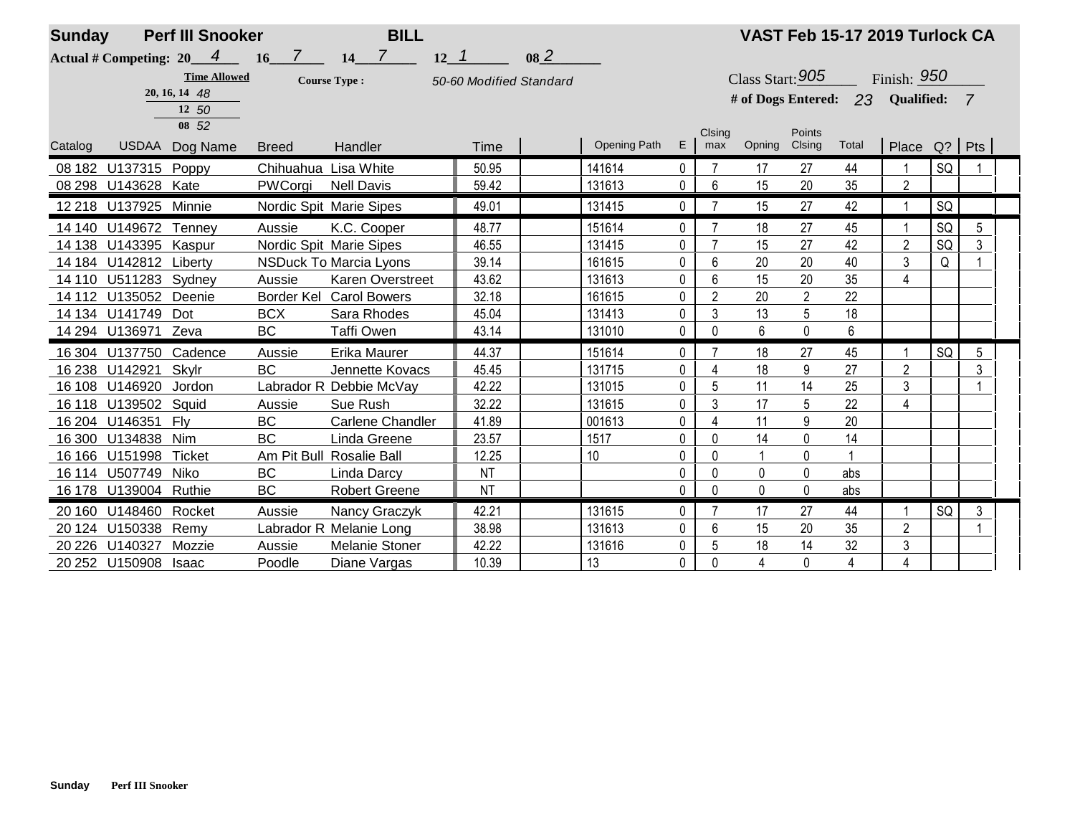| <b>Sunday</b> | <b>Perf III Snooker</b>    |                     |                      | <b>BILL</b>                   |                         |           |              |             |                |                       |                | VAST Feb 15-17 2019 Turlock CA |                |    |                |  |
|---------------|----------------------------|---------------------|----------------------|-------------------------------|-------------------------|-----------|--------------|-------------|----------------|-----------------------|----------------|--------------------------------|----------------|----|----------------|--|
|               | Actual # Competing: $20$ 4 |                     | 7 <sup>7</sup><br>16 | $\overline{7}$<br>14          | $12 - 1$                | $08_{-}2$ |              |             |                |                       |                |                                |                |    |                |  |
|               |                            | <b>Time Allowed</b> |                      | <b>Course Type:</b>           | 50-60 Modified Standard |           |              |             |                | Class Start: 905      |                |                                | Finish: 950    |    |                |  |
|               |                            | 20, 16, 14 48       |                      |                               |                         |           |              |             |                | # of Dogs Entered: 23 |                |                                | Qualified:     |    | $\overline{7}$ |  |
|               |                            | 12 50               |                      |                               |                         |           |              |             |                |                       |                |                                |                |    |                |  |
|               |                            | 08 52               |                      |                               |                         |           |              |             | Clsing         |                       | Points         |                                |                |    |                |  |
| Catalog       | <b>USDAA</b>               | Dog Name            | <b>Breed</b>         | Handler                       | Time                    |           | Opening Path | E.          | max            | Opning                | Clsing         | Total                          | Place $Q?$ Pts |    |                |  |
|               | 08 182 U137315             | Poppy               | Chihuahua Lisa White |                               | 50.95                   |           | 141614       | 0           |                | 17                    | 27             | 44                             |                | SQ |                |  |
|               | 08 298 U143628 Kate        |                     | PWCorgi              | <b>Nell Davis</b>             | 59.42                   |           | 131613       | 0           | 6              | 15                    | 20             | 35                             | $\overline{2}$ |    |                |  |
|               | 12 218 U137925 Minnie      |                     |                      | Nordic Spit Marie Sipes       | 49.01                   |           | 131415       | $\mathbf 0$ | $\overline{7}$ | 15                    | 27             | 42                             | $\overline{ }$ | SQ |                |  |
|               | 14 140 U149672 Tenney      |                     | Aussie               | K.C. Cooper                   | 48.77                   |           | 151614       | 0           | 7              | 18                    | 27             | 45                             |                | SQ | 5              |  |
| 14 138        | U143395                    | Kaspur              |                      | Nordic Spit Marie Sipes       | 46.55                   |           | 131415       | 0           | $\overline{7}$ | 15                    | 27             | 42                             | $\overline{2}$ | SQ | 3              |  |
|               | 14 184 U142812 Liberty     |                     |                      | <b>NSDuck To Marcia Lyons</b> | 39.14                   |           | 161615       | 0           | 6              | 20                    | 20             | 40                             | 3              | Q  |                |  |
| 14 110        | U511283 Sydney             |                     | Aussie               | <b>Karen Overstreet</b>       | 43.62                   |           | 131613       | 0           | 6              | 15                    | 20             | 35                             | $\overline{4}$ |    |                |  |
|               | 14 112 U135052             | Deenie              |                      | Border Kel Carol Bowers       | 32.18                   |           | 161615       | 0           | $\overline{2}$ | 20                    | $\overline{2}$ | 22                             |                |    |                |  |
|               | 14 134 U141749             | Dot                 | <b>BCX</b>           | Sara Rhodes                   | 45.04                   |           | 131413       | 0           | 3              | 13                    | 5              | 18                             |                |    |                |  |
|               | 14 294 U136971 Zeva        |                     | <b>BC</b>            | <b>Taffi Owen</b>             | 43.14                   |           | 131010       | $\mathbf 0$ | 0              | 6                     | 0              | 6                              |                |    |                |  |
|               | 16 304 U137750 Cadence     |                     | Aussie               | Erika Maurer                  | 44.37                   |           | 151614       | 0           | $\overline{7}$ | 18                    | 27             | 45                             |                | SQ | 5              |  |
| 16 238        | U142921                    | Skylr               | <b>BC</b>            | <b>Jennette Kovacs</b>        | 45.45                   |           | 131715       | 0           | 4              | 18                    | 9              | 27                             | $\overline{c}$ |    | 3              |  |
|               | 16 108 U146920             | Jordon              |                      | Labrador R Debbie McVay       | 42.22                   |           | 131015       | 0           | 5              | 11                    | 14             | 25                             | 3              |    |                |  |
| 16 118        | U139502                    | Squid               | Aussie               | Sue Rush                      | 32.22                   |           | 131615       | 0           | 3              | 17                    | 5              | 22                             | $\overline{4}$ |    |                |  |
| 16 204        | U146351                    | Flv                 | <b>BC</b>            | Carlene Chandler              | 41.89                   |           | 001613       | 0           | 4              | 11                    | 9              | 20                             |                |    |                |  |
| 16 300        | U134838                    | Nim                 | <b>BC</b>            | Linda Greene                  | 23.57                   |           | 1517         | 0           | 0              | 14                    | 0              | 14                             |                |    |                |  |
| 16 16 6       | U151998                    | Ticket              |                      | Am Pit Bull Rosalie Ball      | 12.25                   |           | 10           | 0           | $\Omega$       |                       | 0              |                                |                |    |                |  |
|               | 16 114 U507749             | Niko                | <b>BC</b>            | Linda Darcy                   | <b>NT</b>               |           |              | 0           | 0              | 0                     | 0              | abs                            |                |    |                |  |
|               | 16 178 U139004 Ruthie      |                     | <b>BC</b>            | <b>Robert Greene</b>          | <b>NT</b>               |           |              | 0           | $\Omega$       | 0                     | 0              | abs                            |                |    |                |  |
| 20 160        | U148460 Rocket             |                     | Aussie               | Nancy Graczyk                 | 42.21                   |           | 131615       | 0           | 7              | 17                    | 27             | 44                             |                | SQ | 3              |  |
| 20 124        | U150338                    | Remy                |                      | Labrador R Melanie Long       | 38.98                   |           | 131613       | 0           | 6              | 15                    | 20             | 35                             | $\overline{2}$ |    |                |  |
| 20 2 26       | U140327                    | Mozzie              | Aussie               | <b>Melanie Stoner</b>         | 42.22                   |           | 131616       | 0           | 5              | 18                    | 14             | 32                             | 3              |    |                |  |
|               | 20 252 U150908             | <b>Isaac</b>        | Poodle               | Diane Vargas                  | 10.39                   |           | 13           | 0           | 0              | $\overline{4}$        | 0              | $\overline{4}$                 | $\overline{4}$ |    |                |  |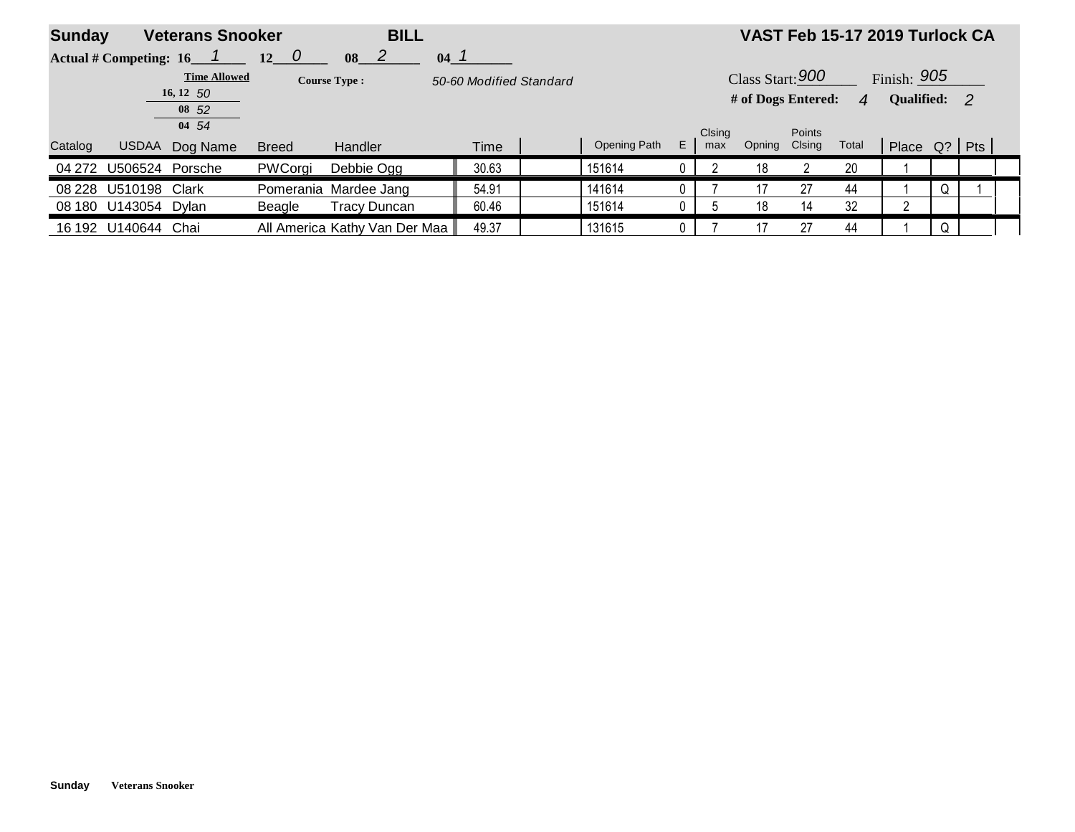| <b>Sunday</b> | <b>BILL</b><br><b>Veterans Snooker</b> |                     |              |                               |        |       |                         |              |    |               |                    |                  | VAST Feb 15-17 2019 Turlock CA |                |   |  |
|---------------|----------------------------------------|---------------------|--------------|-------------------------------|--------|-------|-------------------------|--------------|----|---------------|--------------------|------------------|--------------------------------|----------------|---|--|
|               | Actual # Competing: 16                 |                     | $12$ 0       | $\vert$ 2<br>08               | $04-1$ |       |                         |              |    |               |                    |                  |                                |                |   |  |
|               |                                        | <b>Time Allowed</b> |              | <b>Course Type:</b>           |        |       | 50-60 Modified Standard |              |    |               | Class Start: $900$ |                  |                                | Finish: 905    |   |  |
|               |                                        | 16, 12, 50<br>08 52 |              |                               |        |       |                         |              |    |               | # of Dogs Entered: |                  | $\mathbf{A}$                   | Qualified: 2   |   |  |
|               |                                        | 04 54               |              |                               |        |       |                         |              |    |               |                    |                  |                                |                |   |  |
| Catalog       | <b>USDAA</b>                           | Dog Name            | <b>Breed</b> | Handler                       |        | Time  |                         | Opening Path | E. | Clsing<br>max | Opning             | Points<br>Clsing | Total                          | Place Q?   Pts |   |  |
| 04 272        | U506524 Porsche                        |                     | PWCorgi      | Debbie Ogg                    |        | 30.63 |                         | 151614       |    |               | 18                 |                  | 20                             |                |   |  |
| 08 228        | U510198                                | Clark               |              | Pomerania Mardee Jang         |        | 54.91 |                         | 141614       |    |               |                    | 27               | 44                             |                | Q |  |
|               | 08 180 U143054 Dylan                   |                     | Beagle       | <b>Tracy Duncan</b>           |        | 60.46 |                         | 151614       |    |               | 18                 | 14               | 32                             | ົ              |   |  |
|               | 16 192 U140644                         | Chai                |              | All America Kathy Van Der Maa |        | 49.37 |                         | 131615       |    |               |                    | 27               | 44                             |                |   |  |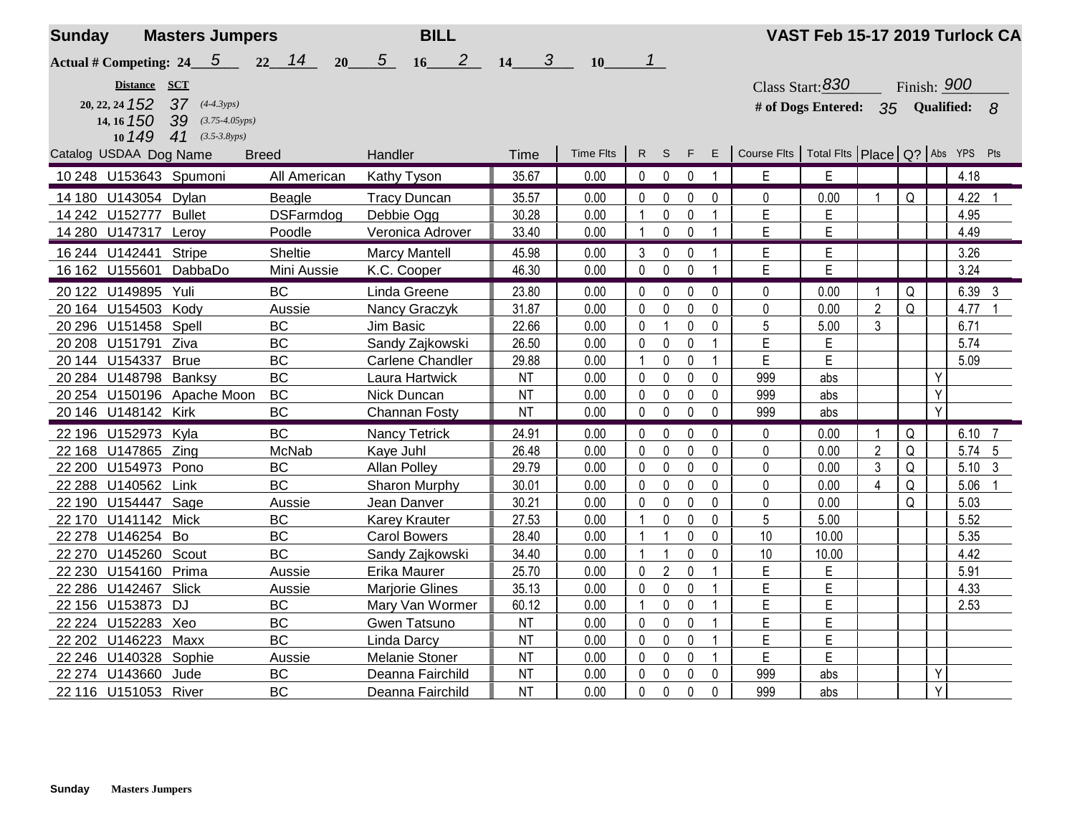| <b>Sunday</b>        | <b>Masters Jumpers</b>                                                                                            |                       | <b>BILL</b>                            |                        |           |                         |                              |                |                                                     | VAST Feb 15-17 2019 Turlock CA                         |                |             |   |        |                |
|----------------------|-------------------------------------------------------------------------------------------------------------------|-----------------------|----------------------------------------|------------------------|-----------|-------------------------|------------------------------|----------------|-----------------------------------------------------|--------------------------------------------------------|----------------|-------------|---|--------|----------------|
| 14, 16 150           | Actual # Competing: $24 \quad 5$<br>22<br>Distance SCT<br>20, 22, 24 $152$ 37 $(4-4.3yps)$<br>$39$ (3.75-4.05yps) | 14<br>20 <sup>°</sup> | $\overline{2}$<br>5 <sup>5</sup><br>16 | $\boldsymbol{3}$<br>14 | 10        | $\mathbf 1$             |                              |                |                                                     | Class Start: $830$<br># of Dogs Entered: 35 Qualified: |                | Finish: 900 |   |        | <b>8</b>       |
|                      | 10 149<br>41 $(3.5-3.8yps)$<br>Catalog USDAA Dog Name<br><b>Breed</b>                                             |                       | Handler                                | Time                   | Time Flts | R S                     | F.                           | $\mathsf E$    | Course Fits   Total Fits   Place   Q?   Abs YPS Pts |                                                        |                |             |   |        |                |
|                      | 10 248 U153643 Spumoni                                                                                            | All American          | Kathy Tyson                            | 35.67                  | 0.00      | $\mathbf 0$             | $\mathbf 0$<br>$\mathbf 0$   | $\mathbf{1}$   | E                                                   | E                                                      |                |             |   | 4.18   |                |
|                      | 14 180 U143054 Dylan                                                                                              | Beagle                | <b>Tracy Duncan</b>                    | 35.57                  | 0.00      | $\mathbf 0$             | 0<br>0                       | 0              | 0                                                   | 0.00                                                   |                | Q           |   | 4.22   |                |
|                      | 14 242 U152777 Bullet                                                                                             | <b>DSFarmdog</b>      | Debbie Ogg                             | 30.28                  | 0.00      |                         | 0<br>$\Omega$                | $\mathbf{1}$   | E                                                   | E                                                      |                |             |   | 4.95   |                |
|                      | 14 280 U147317 Leroy                                                                                              | Poodle                | Veronica Adrover                       | 33.40                  | 0.00      | -1                      | 0<br>$\mathbf 0$             | $\overline{1}$ | E                                                   | E                                                      |                |             |   | 4.49   |                |
| 16 244 U142441       | Stripe                                                                                                            | <b>Sheltie</b>        | <b>Marcy Mantell</b>                   | 45.98                  | 0.00      | 3                       | 0<br>0                       |                | E                                                   | E                                                      |                |             |   | 3.26   |                |
| 16 162 U155601       | DabbaDo                                                                                                           | Mini Aussie           | K.C. Cooper                            | 46.30                  | 0.00      | $\mathbf 0$             | 0<br>$\Omega$                | 1              | E                                                   | E                                                      |                |             |   | 3.24   |                |
| 20 122 U149895       | Yuli                                                                                                              | <b>BC</b>             | Linda Greene                           | 23.80                  | 0.00      | $\pmb{0}$               | 0<br>$\Omega$                | 0              | $\Omega$                                            | 0.00                                                   | -1             | Q           |   | 6.39   | 3              |
|                      | 20 164 U154503 Kody                                                                                               | Aussie                | Nancy Graczyk                          | 31.87                  | 0.00      | $\mathbf 0$             | 0<br>0                       | 0              | 0                                                   | 0.00                                                   | $\overline{2}$ | Q           |   | 4.77   |                |
| 20 296 U151458 Spell |                                                                                                                   | <b>BC</b>             | Jim Basic                              | 22.66                  | 0.00      | $\mathbf{0}$            | $\mathbf{1}$<br>0            | 0              | 5                                                   | 5.00                                                   | 3              |             |   | 6.71   |                |
| 20 208 U151791 Ziva  |                                                                                                                   | <b>BC</b>             | Sandy Zajkowski                        | 26.50                  | 0.00      | $\mathbf 0$             | 0<br>0                       | $\mathbf{1}$   | E                                                   | Е                                                      |                |             |   | 5.74   |                |
| 20 144 U154337 Brue  |                                                                                                                   | <b>BC</b>             | <b>Carlene Chandler</b>                | 29.88                  | 0.00      |                         | 0<br>0                       | $\mathbf{1}$   | E                                                   | E                                                      |                |             |   | 5.09   |                |
|                      | 20 284 U148798 Banksy                                                                                             | <b>BC</b>             | Laura Hartwick                         | <b>NT</b>              | 0.00      | $\mathbf 0$             | 0<br>$\Omega$                | $\mathbf{0}$   | 999                                                 | abs                                                    |                |             | Y |        |                |
|                      | 20 254 U150196 Apache Moon                                                                                        | <b>BC</b>             | Nick Duncan                            | <b>NT</b>              | 0.00      | 0                       | 0<br>$\mathbf{0}$            | 0              | 999                                                 | abs                                                    |                |             | Y |        |                |
| 20 146 U148142 Kirk  |                                                                                                                   | <b>BC</b>             | Channan Fosty                          | NT                     | 0.00      | $\pmb{0}$               | $\pmb{0}$<br>$\mathbf 0$     | $\mathbf 0$    | 999                                                 | abs                                                    |                |             | Y |        |                |
| 22 196 U152973 Kyla  |                                                                                                                   | <b>BC</b>             | <b>Nancy Tetrick</b>                   | 24.91                  | 0.00      | 0                       | 0<br>$\Omega$                | $\Omega$       | 0                                                   | 0.00                                                   |                | Q           |   | 6.10   | $\overline{7}$ |
| 22 168 U147865 Zing  |                                                                                                                   | McNab                 | Kaye Juhl                              | 26.48                  | 0.00      | $\mathbf{0}$            | 0<br>$\mathbf{0}$            | 0              | 0                                                   | 0.00                                                   | $\overline{2}$ | Q           |   | 5.74 5 |                |
|                      | 22 200 U154973 Pono                                                                                               | <b>BC</b>             | Allan Polley                           | 29.79                  | 0.00      | 0                       | 0<br>$\mathbf{0}$            | 0              | 0                                                   | 0.00                                                   | 3              | Q           |   | 5.10   | $\mathbf{3}$   |
| 22 288 U140562 Link  |                                                                                                                   | <b>BC</b>             | Sharon Murphy                          | 30.01                  | 0.00      | 0                       | 0<br>0                       | 0              | 0                                                   | 0.00                                                   | 4              | Q           |   | 5.06   |                |
|                      | 22 190 U154447 Sage                                                                                               | Aussie                | Jean Danver                            | 30.21                  | 0.00      | $\mathbf{0}$            | $\mathbf 0$<br>$\mathbf 0$   | 0              | $\mathbf 0$                                         | 0.00                                                   |                | Q           |   | 5.03   |                |
| 22 170 U141142 Mick  |                                                                                                                   | <b>BC</b>             | <b>Karey Krauter</b>                   | 27.53                  | 0.00      |                         | 0<br>$\pmb{0}$               | 0              | 5                                                   | 5.00                                                   |                |             |   | 5.52   |                |
| 22 278 U146254 Bo    |                                                                                                                   | BC                    | <b>Carol Bowers</b>                    | 28.40                  | 0.00      | $\overline{\mathbf{1}}$ | $\mathbf{1}$<br>0            | 0              | 10                                                  | 10.00                                                  |                |             |   | 5.35   |                |
| 22 270 U145260       | Scout                                                                                                             | <b>BC</b>             | Sandy Zajkowski                        | 34.40                  | 0.00      | $\overline{1}$          | $\mathbf{1}$<br>$\mathbf{0}$ | 0              | 10                                                  | 10.00                                                  |                |             |   | 4.42   |                |
|                      | 22 230 U154160 Prima                                                                                              | Aussie                | Erika Maurer                           | 25.70                  | 0.00      | 0                       | $\overline{2}$<br>0          | $\mathbf{1}$   | Е                                                   | Е                                                      |                |             |   | 5.91   |                |
| 22 286 U142467 Slick |                                                                                                                   | Aussie                | <b>Marjorie Glines</b>                 | 35.13                  | 0.00      | $\mathbf 0$             | 0<br>0                       | $\mathbf{1}$   | E                                                   | E                                                      |                |             |   | 4.33   |                |
| 22 156 U153873       | DJ                                                                                                                | <b>BC</b>             | Mary Van Wormer                        | 60.12                  | 0.00      |                         | 0<br>0                       | $\overline{1}$ | E                                                   | E                                                      |                |             |   | 2.53   |                |
| 22 224 U152283 Xeo   |                                                                                                                   | <b>BC</b>             | Gwen Tatsuno                           | <b>NT</b>              | 0.00      | $\mathbf 0$             | 0<br>0                       | $\mathbf{1}$   | E                                                   | E                                                      |                |             |   |        |                |
|                      | 22 202 U146223 Maxx                                                                                               | <b>BC</b>             | Linda Darcy                            | <b>NT</b>              | 0.00      | $\mathbf 0$             | 0<br>$\Omega$                | $\mathbf{1}$   | E                                                   | E                                                      |                |             |   |        |                |
|                      | 22 246 U140328 Sophie                                                                                             | Aussie                | <b>Melanie Stoner</b>                  | <b>NT</b>              | 0.00      | 0                       | 0<br>$\mathbf{0}$            | $\mathbf{1}$   | E                                                   | E                                                      |                |             |   |        |                |
| 22 274 U143660       | Jude                                                                                                              | <b>BC</b>             | Deanna Fairchild                       | <b>NT</b>              | 0.00      | $\mathbf 0$             | $\pmb{0}$<br>0               | 0              | 999                                                 | abs                                                    |                |             | Υ |        |                |
| 22 116 U151053       | River                                                                                                             | <b>BC</b>             | Deanna Fairchild                       | <b>NT</b>              | 0.00      | $\pmb{0}$               | 0<br>$\mathbf 0$             | 0              | 999                                                 | abs                                                    |                |             | Y |        |                |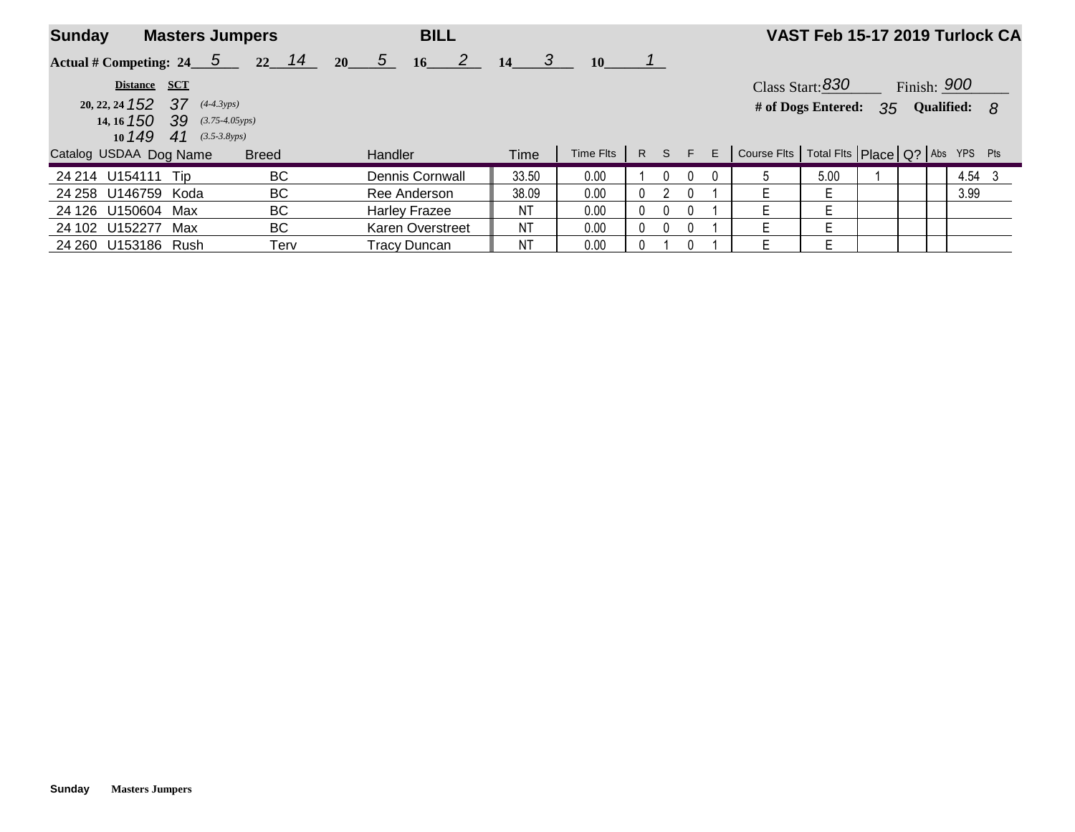| <b>Sunday</b>                                                   | <b>Masters Jumpers</b> | <b>BILL</b>            |              |                   |          |          |   |                                                         | VAST Feb 15-17 2019 Turlock CA |  |                 |  |
|-----------------------------------------------------------------|------------------------|------------------------|--------------|-------------------|----------|----------|---|---------------------------------------------------------|--------------------------------|--|-----------------|--|
| Actual # Competing: $24 \quad 5$                                | $22 \quad 14$          | $20 \quad 5$<br>$16$ 2 | $14 \quad 3$ | <b>10</b>         |          |          |   |                                                         |                                |  |                 |  |
| Distance SCT                                                    |                        |                        |              |                   |          |          |   |                                                         | Class Start: $830$             |  | Finish: $900$   |  |
| $20, 22, 24$ <b>152 37</b>                                      | $(4-4.3yps)$           |                        |              |                   |          |          |   |                                                         | # of Dogs Entered:             |  | 35 Qualified: 8 |  |
| 14, 16 <b>150 39</b> (3.75-4.05yps)<br>10 $149$ 41 (3.5-3.8yps) |                        |                        |              |                   |          |          |   |                                                         |                                |  |                 |  |
| Catalog USDAA Dog Name                                          | <b>Breed</b>           | <b>Handler</b>         | Time         | $Time Flts$ R S F |          |          |   | $E$ Course Fits   Total Fits   Place   Q?   Abs YPS Pts |                                |  |                 |  |
| 24 214 U154111 Tip                                              | BC.                    | Dennis Cornwall        | 33.50        | 0.00              |          |          |   | $\mathfrak{b}$                                          | 5.00                           |  | 4.54 3          |  |
| 24 258 U146759 Koda                                             | BC                     | Ree Anderson           | 38.09        | 0.00              | 0        |          | 0 | E.                                                      | Ε                              |  | 3.99            |  |
| 24 126 U150604 Max                                              | BC                     | <b>Harley Frazee</b>   | <b>NT</b>    | 0.00              | $\Omega$ | $\Omega$ | 0 | F.                                                      | F                              |  |                 |  |
| 24 102 U152277<br>Max                                           | BC.                    | Karen Overstreet       | ΝT           | 0.00              | $\Omega$ |          | 0 | E.                                                      | E                              |  |                 |  |
| 24 260 U153186 Rush                                             | Terv                   | <b>Tracy Duncan</b>    | NT           | 0.00              | 0        |          | U | F                                                       |                                |  |                 |  |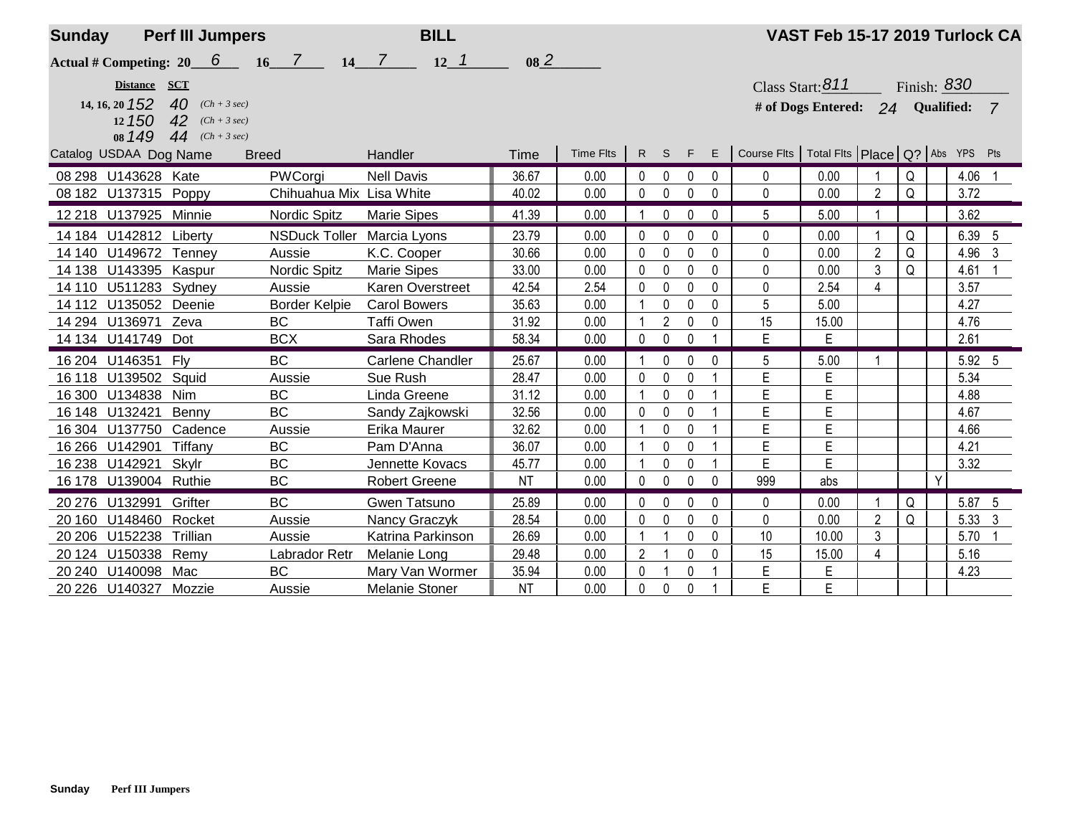| <b>Sunday</b> |                        | <b>Perf III Jumpers</b>         |                          | <b>BILL</b>                  |                 |           |              |                |              |                |                                                         | VAST Feb 15-17 2019 Turlock CA   |                |   |   |             |                |
|---------------|------------------------|---------------------------------|--------------------------|------------------------------|-----------------|-----------|--------------|----------------|--------------|----------------|---------------------------------------------------------|----------------------------------|----------------|---|---|-------------|----------------|
|               |                        | Actual # Competing: $20$ 6 16 7 |                          | $12 \quad 1$<br>$14 \quad 7$ | 08 <sup>2</sup> |           |              |                |              |                |                                                         |                                  |                |   |   |             |                |
|               | Distance SCT           |                                 |                          |                              |                 |           |              |                |              |                |                                                         | Class Start: $811$               |                |   |   | Finish: 830 |                |
|               | 14, 16, 20 152         | 40 $(Ch + 3 sec)$               |                          |                              |                 |           |              |                |              |                |                                                         | # of Dogs Entered: 24 Qualified: |                |   |   |             | $\overline{7}$ |
|               | 12 150                 | 42 $(Ch + 3 sec)$               |                          |                              |                 |           |              |                |              |                |                                                         |                                  |                |   |   |             |                |
|               | 08 149                 | 44 $(Ch + 3 sec)$               |                          |                              |                 |           |              |                |              |                |                                                         |                                  |                |   |   |             |                |
|               | Catalog USDAA Dog Name | <b>Breed</b>                    |                          | Handler                      | Time            | Time Flts |              | R S F          |              |                | $E$ Course Fits   Total Fits   Place   Q?   Abs YPS Pts |                                  |                |   |   |             |                |
|               | 08 298 U143628 Kate    |                                 | PWCorgi                  | <b>Nell Davis</b>            | 36.67           | 0.00      | 0            | $\mathbf{0}$   | 0            | 0              | 0                                                       | 0.00                             |                | Q |   | 4.06        |                |
|               | 08 182 U137315 Poppy   |                                 | Chihuahua Mix Lisa White |                              | 40.02           | 0.00      | $\mathbf 0$  | 0              | 0            | 0              | 0                                                       | 0.00                             | $\overline{2}$ | Q |   | 3.72        |                |
|               | 12 218 U137925 Minnie  |                                 | Nordic Spitz             | <b>Marie Sipes</b>           | 41.39           | 0.00      |              | 0              | $\Omega$     | $\Omega$       | 5                                                       | 5.00                             |                |   |   | 3.62        |                |
|               | 14 184 U142812 Liberty |                                 | <b>NSDuck Toller</b>     | Marcia Lyons                 | 23.79           | 0.00      | $\mathbf{0}$ | $\Omega$       | 0            | 0              | $\Omega$                                                | 0.00                             |                | Q |   | 6.39 5      |                |
|               | 14 140 U149672 Tenney  |                                 | Aussie                   | K.C. Cooper                  | 30.66           | 0.00      | 0            | 0              | 0            | 0              | 0                                                       | 0.00                             | $\overline{2}$ | Q |   | 4.96        | 3              |
|               | 14 138 U143395 Kaspur  |                                 | Nordic Spitz             | <b>Marie Sipes</b>           | 33.00           | 0.00      | 0            | 0              | $\mathbf{0}$ | 0              | $\mathbf 0$                                             | 0.00                             | 3              | Q |   | 4.61        |                |
|               | 14 110 U511283 Sydney  |                                 | Aussie                   | <b>Karen Overstreet</b>      | 42.54           | 2.54      | 0            | 0              | 0            | 0              | 0                                                       | 2.54                             | $\overline{4}$ |   |   | 3.57        |                |
|               | 14 112 U135052 Deenie  |                                 | <b>Border Kelpie</b>     | <b>Carol Bowers</b>          | 35.63           | 0.00      |              | $\mathbf 0$    | $\mathbf{0}$ | 0              | 5                                                       | 5.00                             |                |   |   | 4.27        |                |
|               | 14 294 U136971         | Zeva                            | <b>BC</b>                | <b>Taffi Owen</b>            | 31.92           | 0.00      |              | $\overline{2}$ | 0            | 0              | 15                                                      | 15.00                            |                |   |   | 4.76        |                |
|               | 14 134 U141749 Dot     |                                 | <b>BCX</b>               | Sara Rhodes                  | 58.34           | 0.00      | 0            | 0              | $\mathbf{0}$ |                | E                                                       | E                                |                |   |   | 2.61        |                |
|               | 16 204 U146351         | Fly                             | <b>BC</b>                | <b>Carlene Chandler</b>      | 25.67           | 0.00      |              | 0              | 0            | 0              | 5                                                       | 5.00                             |                |   |   | 5.92 5      |                |
|               | 16 118 U139502 Squid   |                                 | Aussie                   | Sue Rush                     | 28.47           | 0.00      | $\mathbf 0$  | 0              | 0            |                | E                                                       | E                                |                |   |   | 5.34        |                |
|               | 16 300 U134838         | Nim                             | <b>BC</b>                | Linda Greene                 | 31.12           | 0.00      |              | 0              | $\mathbf{0}$ |                | E                                                       | E                                |                |   |   | 4.88        |                |
|               | 16 148 U132421         | Benny                           | <b>BC</b>                | Sandy Zajkowski              | 32.56           | 0.00      | $\mathbf 0$  | $\mathbf 0$    | 0            |                | E                                                       | E                                |                |   |   | 4.67        |                |
|               | 16 304 U137750         | Cadence                         | Aussie                   | Erika Maurer                 | 32.62           | 0.00      |              | 0              | $\mathbf{0}$ |                | E                                                       | E                                |                |   |   | 4.66        |                |
|               | 16 266 U14 2901        | Tiffany                         | <b>BC</b>                | Pam D'Anna                   | 36.07           | 0.00      |              | 0              | 0            |                | E                                                       | E                                |                |   |   | 4.21        |                |
|               | 16 238 U142921         | Skylr                           | <b>BC</b>                | Jennette Kovacs              | 45.77           | 0.00      |              | 0              | 0            |                | E                                                       | E                                |                |   |   | 3.32        |                |
|               | 16 178 U139004 Ruthie  |                                 | <b>BC</b>                | <b>Robert Greene</b>         | <b>NT</b>       | 0.00      | $\mathbf 0$  | $\pmb{0}$      | 0            | 0              | 999                                                     | abs                              |                |   | Y |             |                |
|               | 20 276 U132991         | Grifter                         | <b>BC</b>                | Gwen Tatsuno                 | 25.89           | 0.00      | $\mathbf{0}$ | 0              | $\mathbf{0}$ | 0              | $\mathbf{0}$                                            | 0.00                             |                | Q |   | 5.87 5      |                |
| 20 160        | U148460 Rocket         |                                 | Aussie                   | Nancy Graczyk                | 28.54           | 0.00      | 0            | $\mathbf 0$    | 0            | 0              | 0                                                       | 0.00                             | $\overline{2}$ | Q |   | 5.33 3      |                |
|               | 20 206 U152238         | Trillian                        | Aussie                   | Katrina Parkinson            | 26.69           | 0.00      |              | 1              | 0            | 0              | 10                                                      | 10.00                            | 3              |   |   | 5.70        |                |
|               | 20 124 U150338         | Remy                            | Labrador Retr            | Melanie Long                 | 29.48           | 0.00      | 2            |                | $\mathbf{0}$ | $\mathbf{0}$   | 15                                                      | 15.00                            | 4              |   |   | 5.16        |                |
| 20 240        | U140098                | Mac                             | <b>BC</b>                | Mary Van Wormer              | 35.94           | 0.00      | 0            | $\overline{1}$ | 0            |                | E                                                       | E                                |                |   |   | 4.23        |                |
|               | 20 226 U140327 Mozzie  |                                 | Aussie                   | <b>Melanie Stoner</b>        | <b>NT</b>       | 0.00      | $\mathbf 0$  | 0              | $\mathbf 0$  | $\overline{1}$ | E                                                       | E                                |                |   |   |             |                |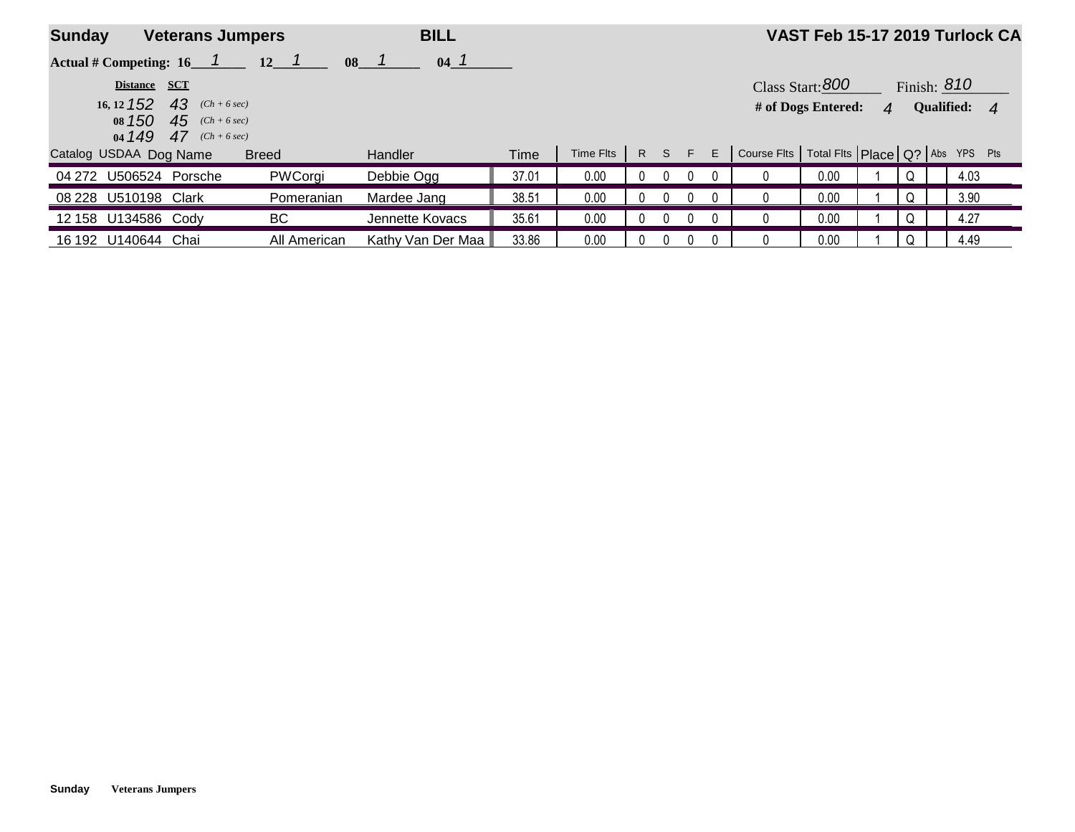| <b>Sunday</b><br><b>Veterans Jumpers</b> |              |                                                             | <b>BILL</b>  |                   |       |           |          |          | VAST Feb 15-17 2019 Turlock CA                    |                    |   |   |               |  |
|------------------------------------------|--------------|-------------------------------------------------------------|--------------|-------------------|-------|-----------|----------|----------|---------------------------------------------------|--------------------|---|---|---------------|--|
|                                          |              | Actual # Competing: $16 \quad 1 \quad 12 \quad 1$           | 08           | 04 <sup>1</sup>   |       |           |          |          |                                                   |                    |   |   |               |  |
|                                          | Distance SCT |                                                             |              |                   |       |           |          |          |                                                   | Class Start: $800$ |   |   | Finish: $810$ |  |
|                                          | $16, 12$ 152 | 43<br>$(Ch + 6 sec)$                                        |              |                   |       |           |          |          |                                                   | # of Dogs Entered: | 4 |   | Qualified: 4  |  |
|                                          |              | 08 150 45 $(Ch + 6 sec)$<br>04 <b>149 47</b> $(Ch + 6 sec)$ |              |                   |       |           |          |          |                                                   |                    |   |   |               |  |
| Catalog USDAA Dog Name                   |              |                                                             | <b>Breed</b> | <b>Handler</b>    | Time  | Time Flts |          | R S F    | $E$ Course Fits Total Fits $PIace Q?$ Abs YPS Pts |                    |   |   |               |  |
| 04 272 U506524 Porsche                   |              |                                                             | PWCorgi      | Debbie Ogg        | 37.01 | 0.00      | $\Omega$ | $\Omega$ |                                                   | 0.00               |   | Q | 4.03          |  |
| 08 228 U510198 Clark                     |              |                                                             | Pomeranian   | Mardee Jang       | 38.51 | 0.00      |          |          |                                                   | 0.00               |   | Q | 3.90          |  |
| 12 158 U134586 Cody                      |              |                                                             | BC           | Jennette Kovacs   | 35.61 | 0.00      |          |          |                                                   | 0.00               |   | Q | 4.27          |  |
| 16 192 U140644 Chai                      |              |                                                             | All American | Kathy Van Der Maa | 33.86 | 0.00      |          |          |                                                   | 0.00               |   | Q | 4.49          |  |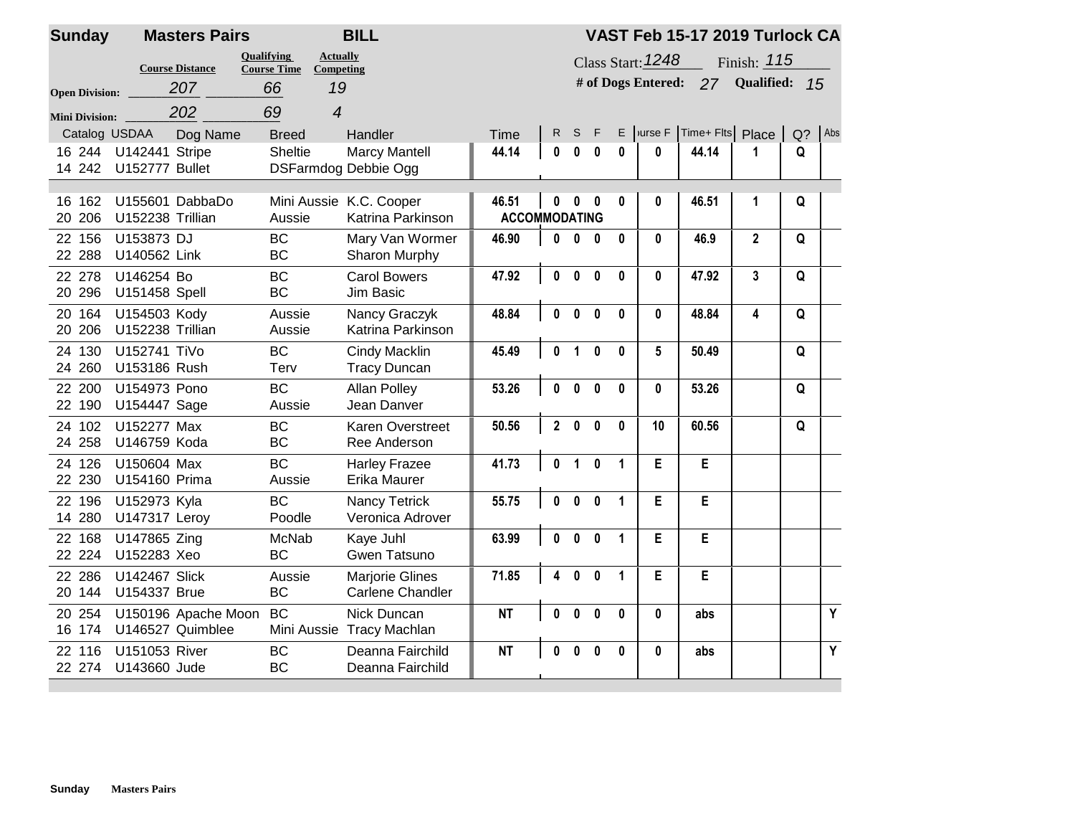| <b>Sunday</b>         | <b>Masters Pairs</b>                    |                                                                                            | <b>BILL</b>                                  |                               |                |                                                                                         | VAST Feb 15-17 2019 Turlock CA |              |                 |                  |              |       |     |  |  |  |
|-----------------------|-----------------------------------------|--------------------------------------------------------------------------------------------|----------------------------------------------|-------------------------------|----------------|-----------------------------------------------------------------------------------------|--------------------------------|--------------|-----------------|------------------|--------------|-------|-----|--|--|--|
| <b>Open Division:</b> | <b>Course Distance</b><br>207           | <b>Oualifying</b><br><b>Actually</b><br><b>Course Time</b><br><b>Competing</b><br>19<br>66 |                                              |                               |                | Class Start: <b>1248</b><br>Finish: 115<br># of Dogs Entered:<br>Qualified:<br>27<br>15 |                                |              |                 |                  |              |       |     |  |  |  |
| <b>Mini Division:</b> | 202                                     | 69<br>$\overline{\mathbf{4}}$                                                              |                                              |                               |                |                                                                                         |                                |              |                 |                  |              |       |     |  |  |  |
| Catalog USDAA         | Dog Name                                | <b>Breed</b>                                                                               | Handler                                      | <b>Time</b>                   | R.             | S                                                                                       | F                              |              | $E$ vurse $F$   | Time+ Flts Place |              | $Q$ ? | Abs |  |  |  |
| 16 244<br>14 242      | <b>U142441 Stripe</b><br>U152777 Bullet | <b>Sheltie</b>                                                                             | <b>Marcy Mantell</b><br>DSFarmdog Debbie Ogg | 44.14                         | 0              | $\bf{0}$                                                                                | $\bf{0}$                       | 0            | 0               | 44.14            | 1            | Q     |     |  |  |  |
| 16 162<br>20 20 6     | U155601 DabbaDo<br>U152238 Trillian     | Aussie                                                                                     | Mini Aussie K.C. Cooper<br>Katrina Parkinson | 46.51<br><b>ACCOMMODATING</b> | $\mathbf{0}$   | $\bf{0}$                                                                                | $\bf{0}$                       | 0            | 0               | 46.51            | 1            | Q     |     |  |  |  |
| 22 156<br>22 288      | U153873 DJ<br>U140562 Link              | <b>BC</b><br><b>BC</b>                                                                     | Mary Van Wormer<br>Sharon Murphy             | 46.90                         | $\mathbf{0}$   | $\bf{0}$                                                                                | $\mathbf{0}$                   | 0            | $\bf{0}$        | 46.9             | $\mathbf{2}$ | Q     |     |  |  |  |
| 22 278<br>20 29 6     | U146254 Bo<br>U151458 Spell             | <b>BC</b><br>BC                                                                            | <b>Carol Bowers</b><br>Jim Basic             | 47.92                         | $\mathbf{0}$   | $\mathbf{0}$                                                                            | $\mathbf{0}$                   | 0            | $\mathbf{0}$    | 47.92            | $\mathbf{3}$ | Q     |     |  |  |  |
| 20 164<br>20 20 6     | U154503 Kody<br>U152238 Trillian        | Aussie<br>Aussie                                                                           | Nancy Graczyk<br>Katrina Parkinson           | 48.84                         | $\mathbf{0}$   | $\mathbf{0}$                                                                            | $\bf{0}$                       | $\mathbf 0$  | $\mathbf{0}$    | 48.84            | 4            | Q     |     |  |  |  |
| 130<br>24<br>24 260   | U152741 TiVo<br>U153186 Rush            | <b>BC</b><br>Terv                                                                          | <b>Cindy Macklin</b><br><b>Tracy Duncan</b>  | 45.49                         | $\mathbf{0}$   | 1                                                                                       | $\mathbf{0}$                   | $\mathbf{0}$ | $5\phantom{.0}$ | 50.49            |              | Q     |     |  |  |  |
| 22 200<br>22 190      | U154973 Pono<br>U154447 Sage            | <b>BC</b><br>Aussie                                                                        | <b>Allan Polley</b><br>Jean Danver           | 53.26                         | $\mathbf{0}$   | $\bf{0}$                                                                                | $\mathbf{0}$                   | $\mathbf{0}$ | $\mathbf{0}$    | 53.26            |              | Q     |     |  |  |  |
| 24 102<br>24 258      | U152277 Max<br>U146759 Koda             | <b>BC</b><br><b>BC</b>                                                                     | Karen Overstreet<br>Ree Anderson             | 50.56                         | $\overline{2}$ | $\bf{0}$                                                                                | $\Omega$                       | $\mathbf{0}$ | 10              | 60.56            |              | Q     |     |  |  |  |
| 24 126<br>22 230      | U150604 Max<br><b>U154160 Prima</b>     | <b>BC</b><br>Aussie                                                                        | <b>Harley Frazee</b><br>Erika Maurer         | 41.73                         | 0              | $\blacktriangleleft$                                                                    | $\mathbf{0}$                   | $\mathbf{1}$ | E               | E                |              |       |     |  |  |  |
| 22 196<br>14 280      | U152973 Kyla<br><b>U147317 Leroy</b>    | <b>BC</b><br>Poodle                                                                        | <b>Nancy Tetrick</b><br>Veronica Adrover     | 55.75                         | $\mathbf{0}$   | $\mathbf{0}$                                                                            | $\mathbf{0}$                   | $\mathbf{1}$ | E               | E                |              |       |     |  |  |  |
| 22 168<br>22 224      | U147865 Zing<br>U152283 Xeo             | McNab<br><b>BC</b>                                                                         | Kaye Juhl<br>Gwen Tatsuno                    | 63.99                         | $\mathbf{0}$   | $\mathbf{0}$                                                                            | $\mathbf{0}$                   | $\mathbf{1}$ | Е               | E                |              |       |     |  |  |  |
| 22 286<br>20 144      | <b>U142467 Slick</b><br>U154337 Brue    | Aussie<br><b>BC</b>                                                                        | <b>Marjorie Glines</b><br>Carlene Chandler   | 71.85                         | 4              | $\mathbf{0}$                                                                            | $\mathbf{0}$                   | $\mathbf{1}$ | E               | E                |              |       |     |  |  |  |
| 20 254<br>16 174      | U150196 Apache Moon<br>U146527 Quimblee | <b>BC</b>                                                                                  | Nick Duncan<br>Mini Aussie Tracy Machlan     | <b>NT</b>                     | $\mathbf{0}$   | $\mathbf{0}$                                                                            | $\mathbf{0}$                   | $\bf{0}$     | $\mathbf{0}$    | abs              |              |       | Y   |  |  |  |
| 22 116<br>22 274      | <b>U151053 River</b><br>U143660 Jude    | <b>BC</b><br><b>BC</b>                                                                     | Deanna Fairchild<br>Deanna Fairchild         | <b>NT</b>                     |                | $\mathbf{0}$                                                                            | $\bf{0}$                       | $\bf{0}$     | $\mathbf{0}$    | abs              |              |       | Y   |  |  |  |

## **Sunday Masters Pairs**